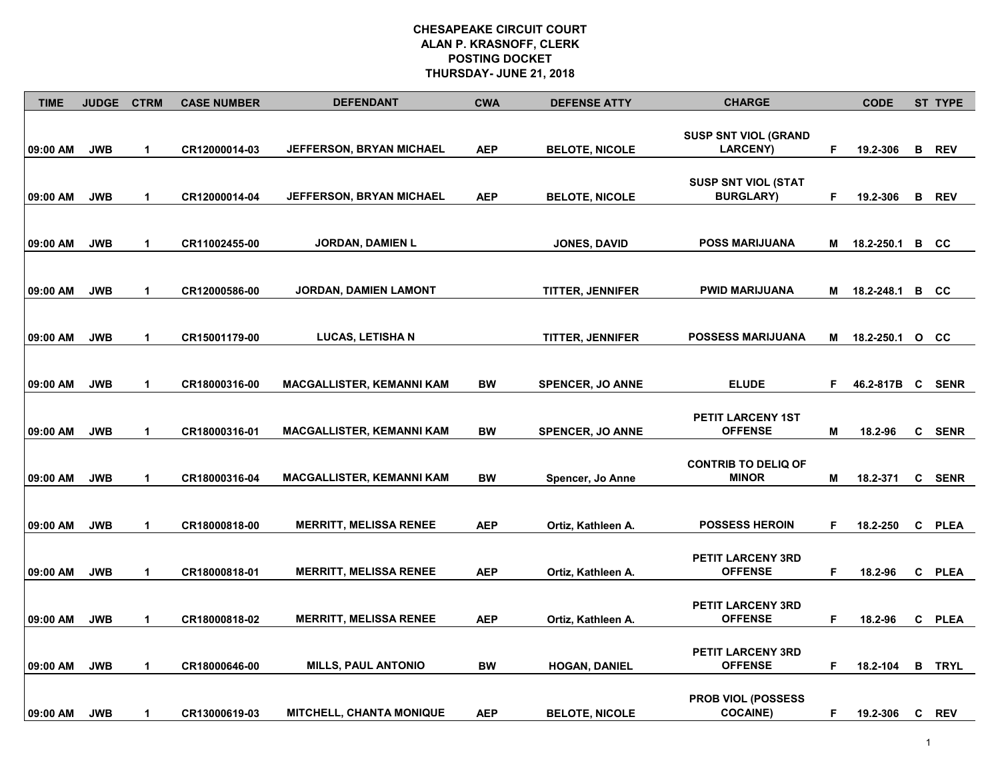| <b>TIME</b> | <b>JUDGE</b> | <b>CTRM</b>          | <b>CASE NUMBER</b> | <b>DEFENDANT</b>                 | <b>CWA</b> | <b>DEFENSE ATTY</b>     | <b>CHARGE</b>                                  |    | <b>CODE</b> |    | <b>ST TYPE</b> |
|-------------|--------------|----------------------|--------------------|----------------------------------|------------|-------------------------|------------------------------------------------|----|-------------|----|----------------|
| 09:00 AM    | <b>JWB</b>   | $\mathbf{1}$         | CR12000014-03      | <b>JEFFERSON, BRYAN MICHAEL</b>  | <b>AEP</b> | <b>BELOTE, NICOLE</b>   | <b>SUSP SNT VIOL (GRAND</b><br><b>LARCENY)</b> | F  | 19.2-306    | в  | <b>REV</b>     |
| 09:00 AM    | <b>JWB</b>   | $\mathbf 1$          | CR12000014-04      | JEFFERSON, BRYAN MICHAEL         | <b>AEP</b> | <b>BELOTE, NICOLE</b>   | <b>SUSP SNT VIOL (STAT</b><br><b>BURGLARY)</b> | F. | 19.2-306    |    | <b>B</b> REV   |
| 09:00 AM    | <b>JWB</b>   | $\blacktriangleleft$ | CR11002455-00      | <b>JORDAN, DAMIEN L</b>          |            | <b>JONES, DAVID</b>     | <b>POSS MARIJUANA</b>                          | М  | 18.2-250.1  |    | B CC           |
| 09:00 AM    | <b>JWB</b>   | $\blacktriangleleft$ | CR12000586-00      | <b>JORDAN, DAMIEN LAMONT</b>     |            | <b>TITTER, JENNIFER</b> | PWID MARIJUANA                                 | M  | 18.2-248.1  |    | B CC           |
| 09:00 AM    | <b>JWB</b>   | $\mathbf{1}$         | CR15001179-00      | <b>LUCAS, LETISHA N</b>          |            | TITTER, JENNIFER        | <b>POSSESS MARIJUANA</b>                       | Μ  | 18.2-250.1  |    | $0 \quad C$    |
| 09:00 AM    | <b>JWB</b>   | $\blacktriangleleft$ | CR18000316-00      | <b>MACGALLISTER, KEMANNI KAM</b> | <b>BW</b>  | <b>SPENCER, JO ANNE</b> | <b>ELUDE</b>                                   | F. | 46.2-817B   | C  | <b>SENR</b>    |
| 09:00 AM    | <b>JWB</b>   | $\blacktriangleleft$ | CR18000316-01      | <b>MACGALLISTER, KEMANNI KAM</b> | BW         | <b>SPENCER, JO ANNE</b> | PETIT LARCENY 1ST<br><b>OFFENSE</b>            | Μ  | 18.2-96     | C  | SENR           |
| 09:00 AM    | <b>JWB</b>   | $\blacktriangleleft$ | CR18000316-04      | <b>MACGALLISTER, KEMANNI KAM</b> | <b>BW</b>  | Spencer, Jo Anne        | <b>CONTRIB TO DELIQ OF</b><br><b>MINOR</b>     | М  | 18.2-371    | C. | <b>SENR</b>    |
| 09:00 AM    | <b>JWB</b>   | $\blacktriangleleft$ | CR18000818-00      | <b>MERRITT, MELISSA RENEE</b>    | <b>AEP</b> | Ortiz, Kathleen A.      | <b>POSSESS HEROIN</b>                          | F. | 18.2-250    |    | C PLEA         |
| 09:00 AM    | <b>JWB</b>   | $\mathbf 1$          | CR18000818-01      | <b>MERRITT, MELISSA RENEE</b>    | <b>AEP</b> | Ortiz, Kathleen A.      | PETIT LARCENY 3RD<br><b>OFFENSE</b>            | F. | 18.2-96     | C. | PLEA           |
| 09:00 AM    | <b>JWB</b>   | $\blacktriangleleft$ | CR18000818-02      | <b>MERRITT, MELISSA RENEE</b>    | <b>AEP</b> | Ortiz, Kathleen A.      | PETIT LARCENY 3RD<br><b>OFFENSE</b>            | F. | 18.2-96     |    | C PLEA         |
| 09:00 AM    | <b>JWB</b>   | $\blacktriangleleft$ | CR18000646-00      | <b>MILLS, PAUL ANTONIO</b>       | <b>BW</b>  | <b>HOGAN, DANIEL</b>    | PETIT LARCENY 3RD<br><b>OFFENSE</b>            | F. | 18.2-104    | в  | TRYL           |
| 09:00 AM    | <b>JWB</b>   | $\mathbf 1$          | CR13000619-03      | <b>MITCHELL, CHANTA MONIQUE</b>  | <b>AEP</b> | <b>BELOTE, NICOLE</b>   | <b>PROB VIOL (POSSESS</b><br><b>COCAINE)</b>   | F. | 19.2-306    |    | C REV          |

1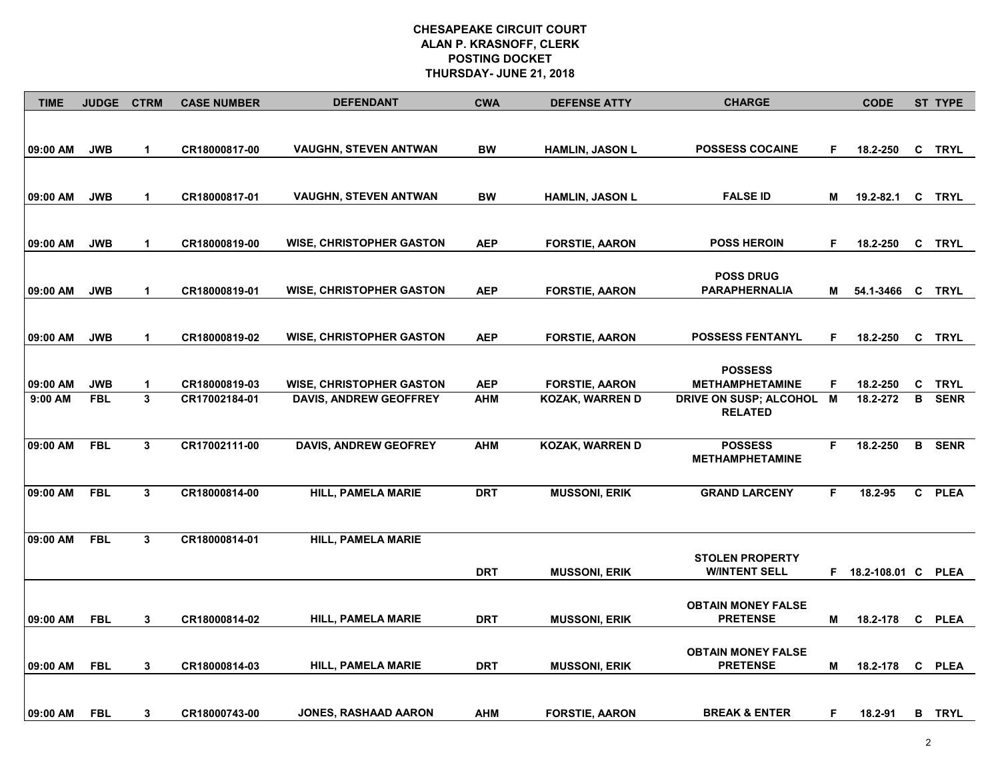| <b>TIME</b> | <b>JUDGE</b> | <b>CTRM</b>          | <b>CASE NUMBER</b> | <b>DEFENDANT</b>                | <b>CWA</b> | <b>DEFENSE ATTY</b>    | <b>CHARGE</b>                                |    | <b>CODE</b>        |              | ST TYPE       |
|-------------|--------------|----------------------|--------------------|---------------------------------|------------|------------------------|----------------------------------------------|----|--------------------|--------------|---------------|
| 09:00 AM    | <b>JWB</b>   | $\mathbf{1}$         | CR18000817-00      | <b>VAUGHN, STEVEN ANTWAN</b>    | <b>BW</b>  | <b>HAMLIN, JASON L</b> | <b>POSSESS COCAINE</b>                       | F. | 18.2-250           | C            | <b>TRYL</b>   |
|             |              |                      |                    |                                 |            |                        |                                              |    |                    |              |               |
|             |              |                      |                    |                                 |            |                        |                                              |    |                    |              |               |
| 09:00 AM    | <b>JWB</b>   | $\mathbf{1}$         | CR18000817-01      | <b>VAUGHN, STEVEN ANTWAN</b>    | <b>BW</b>  | <b>HAMLIN, JASON L</b> | <b>FALSE ID</b>                              | Μ  | 19.2-82.1 C TRYL   |              |               |
|             |              |                      |                    |                                 |            |                        |                                              |    |                    |              |               |
|             |              |                      |                    |                                 |            |                        |                                              |    |                    |              |               |
| 09:00 AM    | <b>JWB</b>   | $\mathbf 1$          | CR18000819-00      | <b>WISE, CHRISTOPHER GASTON</b> | <b>AEP</b> | <b>FORSTIE, AARON</b>  | <b>POSS HEROIN</b>                           | F. | 18.2-250           |              | C TRYL        |
|             |              |                      |                    |                                 |            |                        | <b>POSS DRUG</b>                             |    |                    |              |               |
| 09:00 AM    | <b>JWB</b>   | $\mathbf 1$          | CR18000819-01      | <b>WISE, CHRISTOPHER GASTON</b> | <b>AEP</b> | <b>FORSTIE, AARON</b>  | <b>PARAPHERNALIA</b>                         | М  | 54.1-3466 C TRYL   |              |               |
|             |              |                      |                    |                                 |            |                        |                                              |    |                    |              |               |
|             |              |                      |                    |                                 |            |                        |                                              |    |                    |              |               |
| 09:00 AM    | <b>JWB</b>   | $\blacktriangleleft$ | CR18000819-02      | <b>WISE, CHRISTOPHER GASTON</b> | <b>AEP</b> | <b>FORSTIE, AARON</b>  | <b>POSSESS FENTANYL</b>                      | F. | 18.2-250           |              | C TRYL        |
|             |              |                      |                    |                                 |            |                        |                                              |    |                    |              |               |
| 09:00 AM    | <b>JWB</b>   | $\mathbf{1}$         | CR18000819-03      | <b>WISE, CHRISTOPHER GASTON</b> | <b>AEP</b> | <b>FORSTIE, AARON</b>  | <b>POSSESS</b><br><b>METHAMPHETAMINE</b>     | F. | 18.2-250           | C            | <b>TRYL</b>   |
| 9:00 AM     | <b>FBL</b>   | $\mathbf{3}$         | CR17002184-01      | <b>DAVIS, ANDREW GEOFFREY</b>   | <b>AHM</b> | <b>KOZAK, WARREN D</b> | DRIVE ON SUSP; ALCOHOL                       | M  | 18.2-272           | в            | <b>SENR</b>   |
|             |              |                      |                    |                                 |            |                        | <b>RELATED</b>                               |    |                    |              |               |
|             |              |                      |                    |                                 |            |                        |                                              |    |                    |              |               |
| 09:00 AM    | <b>FBL</b>   | $\mathbf{3}$         | CR17002111-00      | <b>DAVIS, ANDREW GEOFREY</b>    | <b>AHM</b> | KOZAK, WARREN D        | <b>POSSESS</b><br><b>METHAMPHETAMINE</b>     | F. | 18.2-250           | B            | <b>SENR</b>   |
|             |              |                      |                    |                                 |            |                        |                                              |    |                    |              |               |
| 09:00 AM    | <b>FBL</b>   | $\mathbf{3}$         | CR18000814-00      | <b>HILL, PAMELA MARIE</b>       | <b>DRT</b> | <b>MUSSONI, ERIK</b>   | <b>GRAND LARCENY</b>                         | F. | 18.2-95            | $\mathbf{c}$ | <b>PLEA</b>   |
|             |              |                      |                    |                                 |            |                        |                                              |    |                    |              |               |
|             |              |                      |                    |                                 |            |                        |                                              |    |                    |              |               |
| 09:00 AM    | <b>FBL</b>   | $\mathbf{3}$         | CR18000814-01      | <b>HILL, PAMELA MARIE</b>       |            |                        |                                              |    |                    |              |               |
|             |              |                      |                    |                                 |            |                        | <b>STOLEN PROPERTY</b>                       |    |                    |              |               |
|             |              |                      |                    |                                 | <b>DRT</b> | <b>MUSSONI, ERIK</b>   | <b>WINTENT SELL</b>                          | F. | 18.2-108.01 C PLEA |              |               |
|             |              |                      |                    |                                 |            |                        |                                              |    |                    |              |               |
| 09:00 AM    | <b>FBL</b>   | $\mathbf{3}$         | CR18000814-02      | <b>HILL, PAMELA MARIE</b>       | <b>DRT</b> | <b>MUSSONI, ERIK</b>   | <b>OBTAIN MONEY FALSE</b><br><b>PRETENSE</b> | М  | 18.2-178           |              | C PLEA        |
|             |              |                      |                    |                                 |            |                        |                                              |    |                    |              |               |
|             |              |                      |                    |                                 |            |                        | <b>OBTAIN MONEY FALSE</b>                    |    |                    |              |               |
| 09:00 AM    | <b>FBL</b>   | $\mathbf{3}$         | CR18000814-03      | <b>HILL, PAMELA MARIE</b>       | <b>DRT</b> | <b>MUSSONI, ERIK</b>   | <b>PRETENSE</b>                              | М  | 18.2-178           |              | C PLEA        |
|             |              |                      |                    |                                 |            |                        |                                              |    |                    |              |               |
|             |              |                      |                    |                                 |            |                        |                                              |    |                    |              |               |
| 09:00 AM    | <b>FBL</b>   | 3                    | CR18000743-00      | <b>JONES, RASHAAD AARON</b>     | <b>AHM</b> | <b>FORSTIE, AARON</b>  | <b>BREAK &amp; ENTER</b>                     | F. | 18.2-91            |              | <b>B</b> TRYL |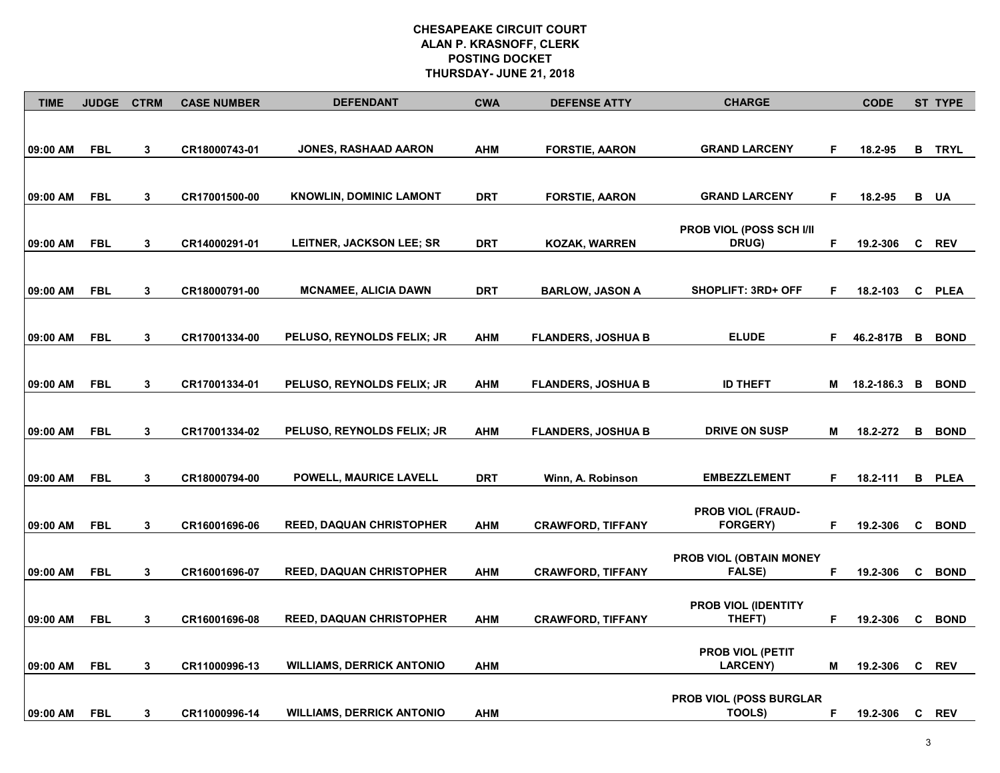| <b>TIME</b> | <b>JUDGE</b> | <b>CTRM</b>  | <b>CASE NUMBER</b> | <b>DEFENDANT</b>                 | <b>CWA</b> | <b>DEFENSE ATTY</b>       | <b>CHARGE</b>                                   |    | <b>CODE</b> |   | ST TYPE       |
|-------------|--------------|--------------|--------------------|----------------------------------|------------|---------------------------|-------------------------------------------------|----|-------------|---|---------------|
| 09:00 AM    | <b>FBL</b>   | 3            | CR18000743-01      | <b>JONES, RASHAAD AARON</b>      | <b>AHM</b> | <b>FORSTIE, AARON</b>     | <b>GRAND LARCENY</b>                            | F. | 18.2-95     | В | TRYL          |
|             |              |              |                    |                                  |            |                           |                                                 | F. |             |   |               |
| 09:00 AM    | <b>FBL</b>   | 3            | CR17001500-00      | <b>KNOWLIN, DOMINIC LAMONT</b>   | <b>DRT</b> | <b>FORSTIE, AARON</b>     | <b>GRAND LARCENY</b>                            |    | 18.2-95     |   | <b>B</b> UA   |
| 09:00 AM    | <b>FBL</b>   | 3            | CR14000291-01      | LEITNER, JACKSON LEE; SR         | <b>DRT</b> | KOZAK, WARREN             | <b>PROB VIOL (POSS SCH I/II</b><br><b>DRUG)</b> | F. | 19.2-306    | C | <b>REV</b>    |
| 09:00 AM    | FBL          | 3            | CR18000791-00      | MCNAMEE, ALICIA DAWN             | DRT        | <b>BARLOW, JASON A</b>    | <b>SHOPLIFT: 3RD+ OFF</b>                       | F. | 18.2-103    |   | C PLEA        |
|             |              |              |                    |                                  |            |                           |                                                 |    |             |   |               |
| 09:00 AM    | <b>FBL</b>   | 3            | CR17001334-00      | PELUSO, REYNOLDS FELIX; JR       | <b>AHM</b> | <b>FLANDERS, JOSHUA B</b> | <b>ELUDE</b>                                    | F. | 46.2-817B   | B | <b>BOND</b>   |
| 09:00 AM    | <b>FBL</b>   | $\mathbf{3}$ | CR17001334-01      | PELUSO, REYNOLDS FELIX; JR       | <b>AHM</b> | <b>FLANDERS, JOSHUA B</b> | <b>ID THEFT</b>                                 | Μ  | 18.2-186.3  | B | <b>BOND</b>   |
|             |              |              |                    |                                  |            |                           |                                                 |    |             |   |               |
| 09:00 AM    | <b>FBL</b>   | 3            | CR17001334-02      | PELUSO, REYNOLDS FELIX; JR       | <b>AHM</b> | <b>FLANDERS, JOSHUA B</b> | <b>DRIVE ON SUSP</b>                            | М  | 18.2-272    | в | <b>BOND</b>   |
| 09:00 AM    | <b>FBL</b>   | 3            | CR18000794-00      | POWELL, MAURICE LAVELL           | <b>DRT</b> | Winn, A. Robinson         | <b>EMBEZZLEMENT</b>                             | F. | 18.2-111    |   | <b>B</b> PLEA |
| 09:00 AM    | <b>FBL</b>   |              | CR16001696-06      | <b>REED, DAQUAN CHRISTOPHER</b>  |            |                           | PROB VIOL (FRAUD-<br><b>FORGERY)</b>            | F. | 19.2-306    | C | <b>BOND</b>   |
|             |              | 3            |                    |                                  | AHM        | <b>CRAWFORD, TIFFANY</b>  |                                                 |    |             |   |               |
| 09:00 AM    | <b>FBL</b>   | 3            | CR16001696-07      | <b>REED, DAQUAN CHRISTOPHER</b>  | <b>AHM</b> | <b>CRAWFORD, TIFFANY</b>  | PROB VIOL (OBTAIN MONEY<br><b>FALSE)</b>        | F  | 19.2-306    | C | <b>BOND</b>   |
| 09:00 AM    | <b>FBL</b>   | 3            | CR16001696-08      | REED, DAQUAN CHRISTOPHER         | <b>AHM</b> | <b>CRAWFORD, TIFFANY</b>  | <b>PROB VIOL (IDENTITY</b><br>THEFT)            | F  | 19.2-306    | C | <b>BOND</b>   |
| 09:00 AM    | <b>FBL</b>   | 3            | CR11000996-13      | <b>WILLIAMS, DERRICK ANTONIO</b> | <b>AHM</b> |                           | <b>PROB VIOL (PETIT</b><br><b>LARCENY)</b>      | М  | 19.2-306    | C | <b>REV</b>    |
|             |              |              |                    |                                  |            |                           |                                                 |    |             |   |               |
| 09:00 AM    | FBL          | 3            | CR11000996-14      | <b>WILLIAMS, DERRICK ANTONIO</b> | AHM        |                           | PROB VIOL (POSS BURGLAR<br>TOOLS)               | F. | 19.2-306    | C | <b>REV</b>    |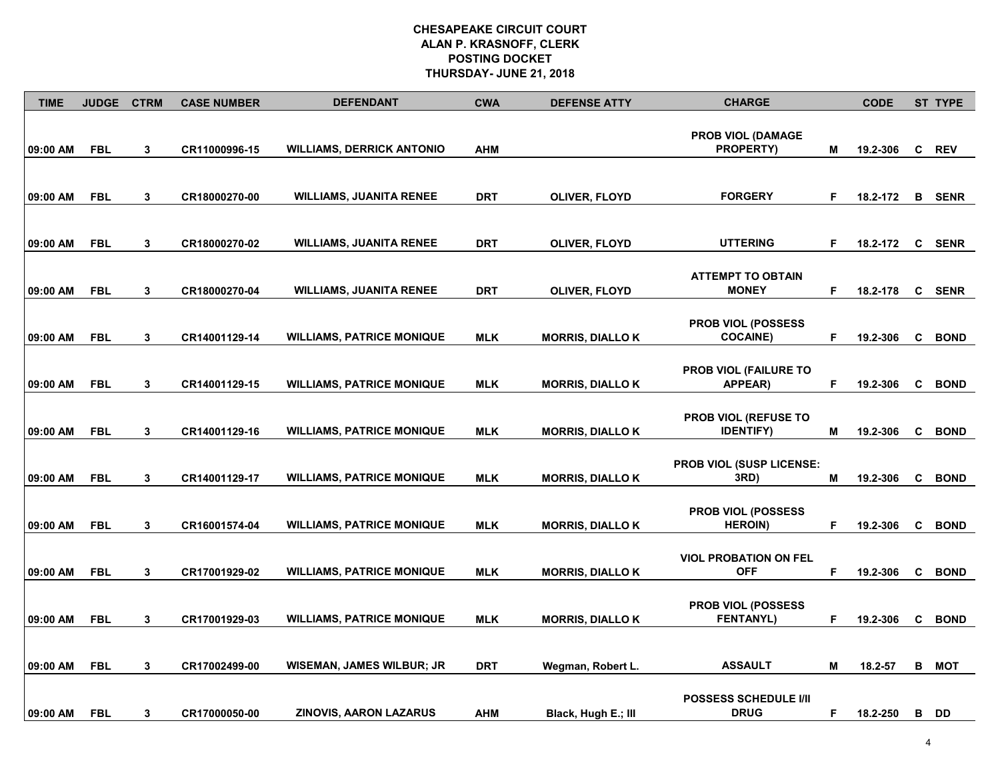| <b>TIME</b> | <b>JUDGE</b> | <b>CTRM</b> | <b>CASE NUMBER</b> | <b>DEFENDANT</b>                 | <b>CWA</b> | <b>DEFENSE ATTY</b>     | <b>CHARGE</b>                                   |    | <b>CODE</b> |              | ST TYPE       |
|-------------|--------------|-------------|--------------------|----------------------------------|------------|-------------------------|-------------------------------------------------|----|-------------|--------------|---------------|
| 09:00 AM    | <b>FBL</b>   | 3           | CR11000996-15      | <b>WILLIAMS, DERRICK ANTONIO</b> | <b>AHM</b> |                         | <b>PROB VIOL (DAMAGE</b><br><b>PROPERTY)</b>    | M  | 19.2-306    | C            | <b>REV</b>    |
| 09:00 AM    | <b>FBL</b>   | 3           | CR18000270-00      | <b>WILLIAMS, JUANITA RENEE</b>   | DRT        | OLIVER, FLOYD           | <b>FORGERY</b>                                  | F  | 18.2-172    |              | <b>B</b> SENR |
| 09:00 AM    | <b>FBL</b>   | 3           | CR18000270-02      | <b>WILLIAMS, JUANITA RENEE</b>   | DRT        | OLIVER, FLOYD           | <b>UTTERING</b>                                 | F  | 18.2-172    | $\mathbf{C}$ | <b>SENR</b>   |
| 09:00 AM    | <b>FBL</b>   | 3           | CR18000270-04      | <b>WILLIAMS, JUANITA RENEE</b>   | DRT        | OLIVER, FLOYD           | <b>ATTEMPT TO OBTAIN</b><br><b>MONEY</b>        | F  | 18.2-178    |              | <b>C</b> SENR |
| 09:00 AM    | <b>FBL</b>   | 3           | CR14001129-14      | <b>WILLIAMS, PATRICE MONIQUE</b> | <b>MLK</b> | <b>MORRIS, DIALLO K</b> | <b>PROB VIOL (POSSESS)</b><br><b>COCAINE)</b>   | F  | 19.2-306    | C            | <b>BOND</b>   |
| 09:00 AM    | <b>FBL</b>   | 3           | CR14001129-15      | <b>WILLIAMS, PATRICE MONIQUE</b> | <b>MLK</b> | <b>MORRIS, DIALLO K</b> | <b>PROB VIOL (FAILURE TO</b><br><b>APPEAR)</b>  | F  | 19.2-306    | C            | <b>BOND</b>   |
| 09:00 AM    | <b>FBL</b>   | 3           | CR14001129-16      | <b>WILLIAMS, PATRICE MONIQUE</b> | <b>MLK</b> | <b>MORRIS, DIALLO K</b> | <b>PROB VIOL (REFUSE TO</b><br><b>IDENTIFY)</b> | M  | 19.2-306    | C            | <b>BOND</b>   |
| 09:00 AM    | <b>FBL</b>   | 3           | CR14001129-17      | <b>WILLIAMS, PATRICE MONIQUE</b> | <b>MLK</b> | <b>MORRIS, DIALLO K</b> | <b>PROB VIOL (SUSP LICENSE:</b><br>3RD)         | м  | 19.2-306    | C            | <b>BOND</b>   |
| 09:00 AM    | <b>FBL</b>   | 3           | CR16001574-04      | <b>WILLIAMS, PATRICE MONIQUE</b> | <b>MLK</b> | <b>MORRIS, DIALLO K</b> | PROB VIOL (POSSESS<br><b>HEROIN</b> )           | F  | 19.2-306    | C            | <b>BOND</b>   |
| 09:00 AM    | <b>FBL</b>   | 3           | CR17001929-02      | <b>WILLIAMS, PATRICE MONIQUE</b> | <b>MLK</b> | <b>MORRIS, DIALLO K</b> | <b>VIOL PROBATION ON FEL</b><br><b>OFF</b>      | F  | 19.2-306    | C            | <b>BOND</b>   |
| 09:00 AM    | <b>FBL</b>   | 3           | CR17001929-03      | <b>WILLIAMS, PATRICE MONIQUE</b> | <b>MLK</b> | <b>MORRIS, DIALLO K</b> | <b>PROB VIOL (POSSESS)</b><br><b>FENTANYL)</b>  | F  | 19.2-306    | C            | <b>BOND</b>   |
| 09:00 AM    | <b>FBL</b>   | 3           | CR17002499-00      | WISEMAN, JAMES WILBUR; JR        | DRT        | Wegman, Robert L.       | <b>ASSAULT</b>                                  | Μ  | 18.2-57     | в            | МОТ           |
| 09:00 AM    | <b>FBL</b>   | 3           | CR17000050-00      | <b>ZINOVIS, AARON LAZARUS</b>    | <b>AHM</b> | Black, Hugh E.; III     | <b>POSSESS SCHEDULE I/II</b><br><b>DRUG</b>     | F. | 18.2-250    |              | B DD          |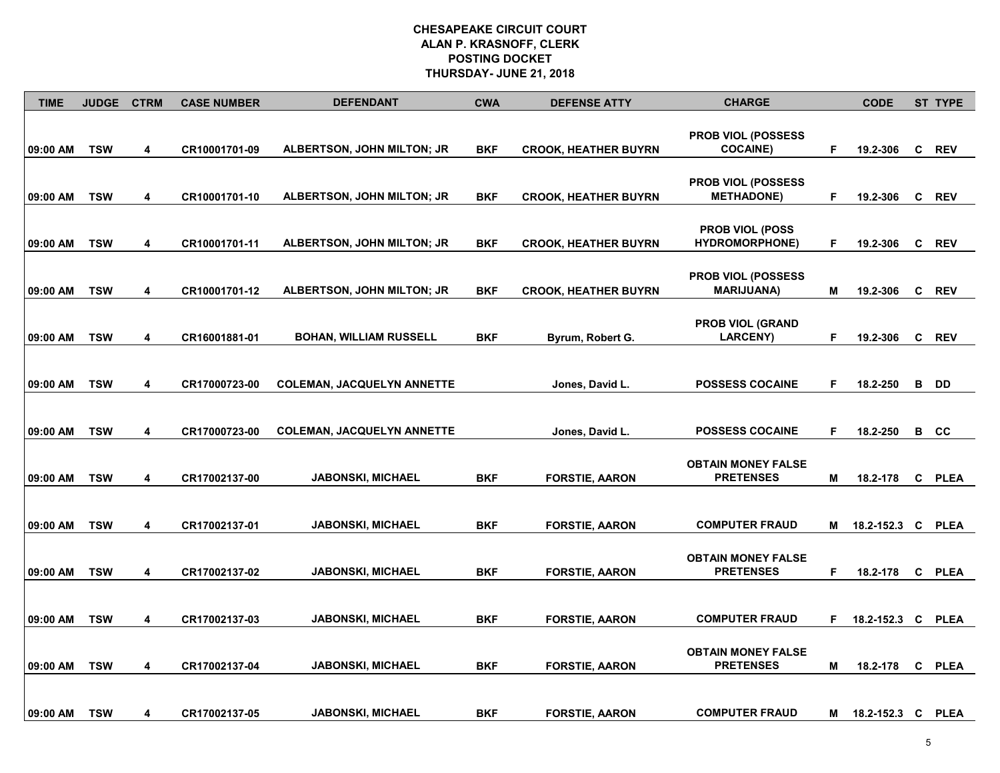| <b>TIME</b> | <b>JUDGE</b> | <b>CTRM</b> | <b>CASE NUMBER</b> | <b>DEFENDANT</b>                  | <b>CWA</b> | <b>DEFENSE ATTY</b>         | <b>CHARGE</b>                                    |   | <b>CODE</b>       |              | ST TYPE     |
|-------------|--------------|-------------|--------------------|-----------------------------------|------------|-----------------------------|--------------------------------------------------|---|-------------------|--------------|-------------|
| 09:00 AM    | <b>TSW</b>   | 4           | CR10001701-09      | ALBERTSON, JOHN MILTON; JR        | <b>BKF</b> | <b>CROOK, HEATHER BUYRN</b> | <b>PROB VIOL (POSSESS)</b><br><b>COCAINE)</b>    | F | 19.2-306          | C            | <b>REV</b>  |
| 09:00 AM    | <b>TSW</b>   | 4           | CR10001701-10      | ALBERTSON, JOHN MILTON; JR        | <b>BKF</b> | <b>CROOK, HEATHER BUYRN</b> | <b>PROB VIOL (POSSESS)</b><br><b>METHADONE</b> ) | F | 19.2-306          | C            | <b>REV</b>  |
| 09:00 AM    | <b>TSW</b>   | 4           | CR10001701-11      | ALBERTSON, JOHN MILTON; JR        | <b>BKF</b> | <b>CROOK, HEATHER BUYRN</b> | <b>PROB VIOL (POSS</b><br><b>HYDROMORPHONE)</b>  | F | 19.2-306          | C            | <b>REV</b>  |
| 09:00 AM    | <b>TSW</b>   | 4           | CR10001701-12      | ALBERTSON, JOHN MILTON; JR        | <b>BKF</b> | <b>CROOK, HEATHER BUYRN</b> | <b>PROB VIOL (POSSESS)</b><br><b>MARIJUANA)</b>  | М | 19.2-306          | <b>C</b>     | <b>REV</b>  |
| 09:00 AM    | <b>TSW</b>   | 4           | CR16001881-01      | <b>BOHAN, WILLIAM RUSSELL</b>     | BKF        | Byrum, Robert G.            | <b>PROB VIOL (GRAND</b><br><b>LARCENY)</b>       | F | 19.2-306          | C            | <b>REV</b>  |
| 09:00 AM    | <b>TSW</b>   | 4           | CR17000723-00      | <b>COLEMAN, JACQUELYN ANNETTE</b> |            | Jones, David L.             | <b>POSSESS COCAINE</b>                           | F | 18.2-250          | В            | DD          |
| 09:00 AM    | <b>TSW</b>   | 4           | CR17000723-00      | <b>COLEMAN, JACQUELYN ANNETTE</b> |            | Jones, David L.             | <b>POSSESS COCAINE</b>                           | F | 18.2-250          | в            | CC          |
| 09:00 AM    | <b>TSW</b>   | 4           | CR17002137-00      | <b>JABONSKI, MICHAEL</b>          | <b>BKF</b> | <b>FORSTIE, AARON</b>       | <b>OBTAIN MONEY FALSE</b><br><b>PRETENSES</b>    | М | 18.2-178          | C            | <b>PLEA</b> |
| 09:00 AM    | <b>TSW</b>   | 4           | CR17002137-01      | <b>JABONSKI, MICHAEL</b>          | BKF        | <b>FORSTIE, AARON</b>       | <b>COMPUTER FRAUD</b>                            | м | 18.2-152.3 C      |              | <b>PLEA</b> |
| 09:00 AM    | <b>TSW</b>   | 4           | CR17002137-02      | <b>JABONSKI, MICHAEL</b>          | <b>BKF</b> | <b>FORSTIE, AARON</b>       | <b>OBTAIN MONEY FALSE</b><br><b>PRETENSES</b>    | F | 18.2-178          | $\mathbf{c}$ | <b>PLEA</b> |
| 09:00 AM    | <b>TSW</b>   | 4           | CR17002137-03      | <b>JABONSKI, MICHAEL</b>          | <b>BKF</b> | <b>FORSTIE, AARON</b>       | <b>COMPUTER FRAUD</b>                            | F | 18.2-152.3 C PLEA |              |             |
| 09:00 AM    | <b>TSW</b>   | 4           | CR17002137-04      | <b>JABONSKI, MICHAEL</b>          | BKF        | <b>FORSTIE, AARON</b>       | <b>OBTAIN MONEY FALSE</b><br><b>PRETENSES</b>    | М | 18.2-178          | C            | <b>PLEA</b> |
| 09:00 AM    | <b>TSW</b>   | 4           | CR17002137-05      | <b>JABONSKI, MICHAEL</b>          | BKF        | <b>FORSTIE, AARON</b>       | <b>COMPUTER FRAUD</b>                            | M | 18.2-152.3 C PLEA |              |             |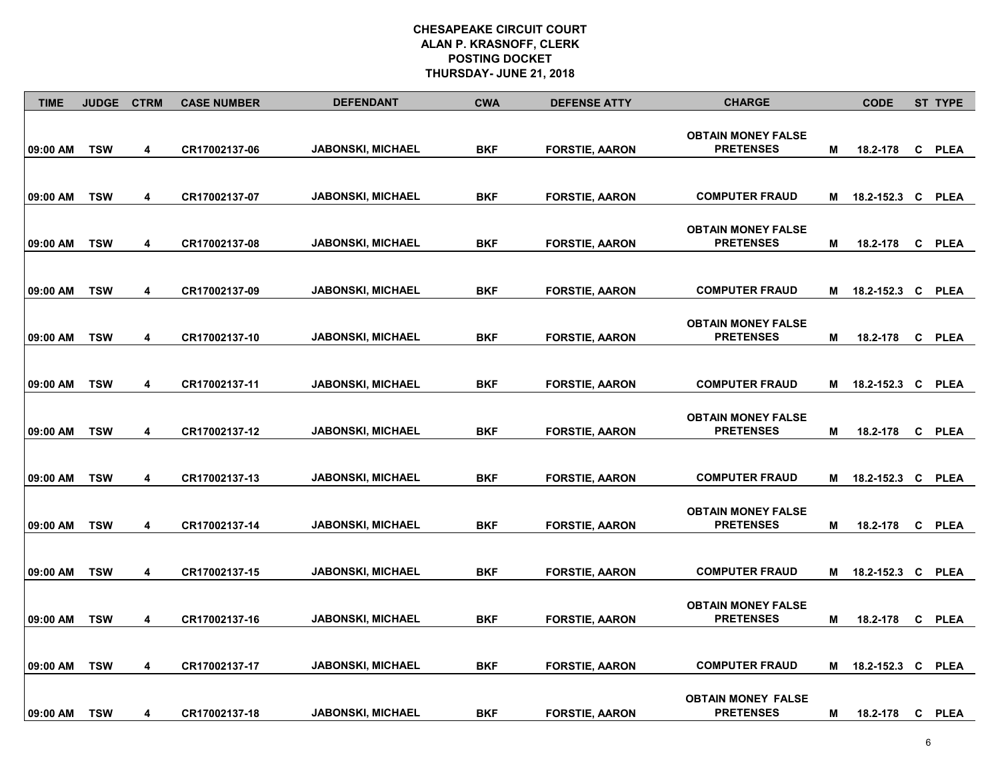| <b>TIME</b> | <b>JUDGE</b> | <b>CTRM</b> | <b>CASE NUMBER</b> | <b>DEFENDANT</b>         | <b>CWA</b> | <b>DEFENSE ATTY</b>   | <b>CHARGE</b>                                 |   | <b>CODE</b>  |   | ST TYPE     |
|-------------|--------------|-------------|--------------------|--------------------------|------------|-----------------------|-----------------------------------------------|---|--------------|---|-------------|
| 09:00 AM    | <b>TSW</b>   | 4           | CR17002137-06      | <b>JABONSKI, MICHAEL</b> | <b>BKF</b> | <b>FORSTIE, AARON</b> | <b>OBTAIN MONEY FALSE</b><br><b>PRETENSES</b> | M | 18.2-178     |   | C PLEA      |
| 09:00 AM    | <b>TSW</b>   | 4           | CR17002137-07      | <b>JABONSKI, MICHAEL</b> | BKF        | <b>FORSTIE, AARON</b> | <b>COMPUTER FRAUD</b>                         | м | 18.2-152.3 C |   | PLEA        |
| 09:00 AM    | <b>TSW</b>   | 4           | CR17002137-08      | <b>JABONSKI, MICHAEL</b> | BKF        | <b>FORSTIE, AARON</b> | <b>OBTAIN MONEY FALSE</b><br><b>PRETENSES</b> | M | 18.2-178     | C | <b>PLEA</b> |
| 09:00 AM    | <b>TSW</b>   | 4           | CR17002137-09      | <b>JABONSKI, MICHAEL</b> | BKF        | <b>FORSTIE, AARON</b> | <b>COMPUTER FRAUD</b>                         | М | 18.2-152.3 C |   | <b>PLEA</b> |
| 09:00 AM    | <b>TSW</b>   | 4           | CR17002137-10      | <b>JABONSKI, MICHAEL</b> | <b>BKF</b> | <b>FORSTIE, AARON</b> | <b>OBTAIN MONEY FALSE</b><br><b>PRETENSES</b> | M | 18.2-178     | C | <b>PLEA</b> |
| 09:00 AM    | <b>TSW</b>   | 4           | CR17002137-11      | <b>JABONSKI, MICHAEL</b> | BKF        | <b>FORSTIE, AARON</b> | <b>COMPUTER FRAUD</b>                         | Μ | 18.2-152.3 C |   | <b>PLEA</b> |
| 09:00 AM    | <b>TSW</b>   | 4           | CR17002137-12      | <b>JABONSKI, MICHAEL</b> | <b>BKF</b> | <b>FORSTIE, AARON</b> | <b>OBTAIN MONEY FALSE</b><br><b>PRETENSES</b> | M | 18.2-178     | C | <b>PLEA</b> |
| 09:00 AM    | <b>TSW</b>   | 4           | CR17002137-13      | <b>JABONSKI, MICHAEL</b> | <b>BKF</b> | <b>FORSTIE, AARON</b> | <b>COMPUTER FRAUD</b>                         | м | 18.2-152.3 C |   | <b>PLEA</b> |
| 09:00 AM    | <b>TSW</b>   | 4           | CR17002137-14      | <b>JABONSKI, MICHAEL</b> | BKF        | <b>FORSTIE, AARON</b> | <b>OBTAIN MONEY FALSE</b><br><b>PRETENSES</b> | м | 18.2-178     | C | PLEA        |
| 09:00 AM    | <b>TSW</b>   | 4           | CR17002137-15      | <b>JABONSKI, MICHAEL</b> | BKF        | <b>FORSTIE, AARON</b> | <b>COMPUTER FRAUD</b>                         | М | 18.2-152.3 C |   | <b>PLEA</b> |
| 09:00 AM    | <b>TSW</b>   | 4           | CR17002137-16      | <b>JABONSKI, MICHAEL</b> | <b>BKF</b> | <b>FORSTIE, AARON</b> | <b>OBTAIN MONEY FALSE</b><br><b>PRETENSES</b> | М | 18.2-178     | C | <b>PLEA</b> |
| 09:00 AM    | <b>TSW</b>   | 4           | CR17002137-17      | <b>JABONSKI, MICHAEL</b> | <b>BKF</b> | <b>FORSTIE, AARON</b> | <b>COMPUTER FRAUD</b>                         | M | 18.2-152.3   | C | <b>PLEA</b> |
| 09:00 AM    | <b>TSW</b>   | 4           | CR17002137-18      | <b>JABONSKI, MICHAEL</b> | <b>BKF</b> | <b>FORSTIE, AARON</b> | <b>OBTAIN MONEY FALSE</b><br><b>PRETENSES</b> | М | 18.2-178     | C | PLEA        |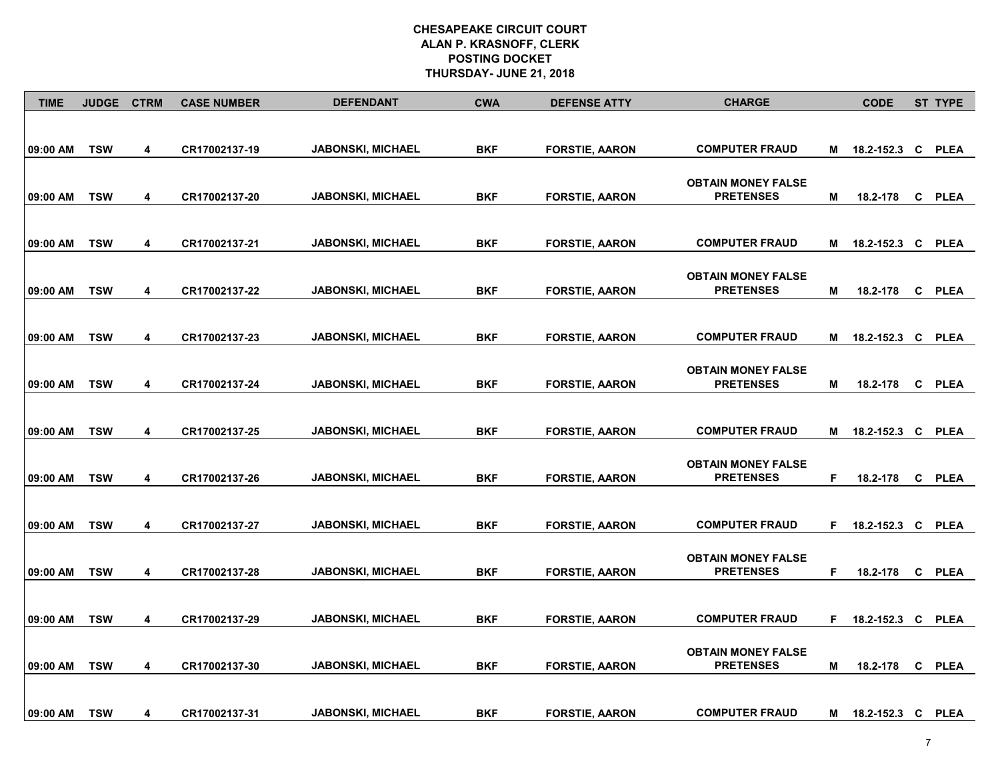| <b>TIME</b> | <b>JUDGE</b> | <b>CTRM</b>             | <b>CASE NUMBER</b> | <b>DEFENDANT</b>         | <b>CWA</b> | <b>DEFENSE ATTY</b>   | <b>CHARGE</b>                                 |    | <b>CODE</b>         | <b>ST TYPE</b> |
|-------------|--------------|-------------------------|--------------------|--------------------------|------------|-----------------------|-----------------------------------------------|----|---------------------|----------------|
|             |              |                         |                    |                          |            |                       |                                               |    |                     |                |
| 09:00 AM    | <b>TSW</b>   | 4                       | CR17002137-19      | <b>JABONSKI, MICHAEL</b> | <b>BKF</b> | <b>FORSTIE, AARON</b> | <b>COMPUTER FRAUD</b>                         | M  | 18.2-152.3 C PLEA   |                |
| 09:00 AM    | <b>TSW</b>   | 4                       | CR17002137-20      | <b>JABONSKI, MICHAEL</b> | <b>BKF</b> | <b>FORSTIE, AARON</b> | <b>OBTAIN MONEY FALSE</b><br><b>PRETENSES</b> | м  | 18.2-178            | C PLEA         |
| 09:00 AM    | <b>TSW</b>   | 4                       | CR17002137-21      | <b>JABONSKI, MICHAEL</b> | <b>BKF</b> | <b>FORSTIE, AARON</b> | <b>COMPUTER FRAUD</b>                         |    | M 18.2-152.3 C PLEA |                |
| 09:00 AM    | <b>TSW</b>   | 4                       | CR17002137-22      | <b>JABONSKI, MICHAEL</b> | <b>BKF</b> | <b>FORSTIE, AARON</b> | <b>OBTAIN MONEY FALSE</b><br><b>PRETENSES</b> | M  | 18.2-178            | C PLEA         |
|             |              |                         |                    |                          |            |                       |                                               |    |                     |                |
| 09:00 AM    | <b>TSW</b>   | $\overline{\mathbf{4}}$ | CR17002137-23      | <b>JABONSKI, MICHAEL</b> | <b>BKF</b> | <b>FORSTIE, AARON</b> | <b>COMPUTER FRAUD</b>                         | М  | 18.2-152.3 C PLEA   |                |
| 09:00 AM    | <b>TSW</b>   | 4                       | CR17002137-24      | <b>JABONSKI, MICHAEL</b> | <b>BKF</b> | <b>FORSTIE, AARON</b> | <b>OBTAIN MONEY FALSE</b><br><b>PRETENSES</b> | М  | 18.2-178            | C PLEA         |
| 09:00 AM    | <b>TSW</b>   | 4                       | CR17002137-25      | <b>JABONSKI, MICHAEL</b> | <b>BKF</b> | <b>FORSTIE, AARON</b> | <b>COMPUTER FRAUD</b>                         | M  | 18.2-152.3 C PLEA   |                |
| 09:00 AM    | <b>TSW</b>   | 4                       | CR17002137-26      | <b>JABONSKI, MICHAEL</b> | <b>BKF</b> | <b>FORSTIE, AARON</b> | <b>OBTAIN MONEY FALSE</b><br><b>PRETENSES</b> | F  | 18.2-178            | C PLEA         |
| 09:00 AM    | <b>TSW</b>   | 4                       | CR17002137-27      | <b>JABONSKI, MICHAEL</b> | <b>BKF</b> | <b>FORSTIE, AARON</b> | <b>COMPUTER FRAUD</b>                         | F. | 18.2-152.3 C PLEA   |                |
| 09:00 AM    | <b>TSW</b>   | $\overline{\mathbf{4}}$ | CR17002137-28      | <b>JABONSKI, MICHAEL</b> | <b>BKF</b> | <b>FORSTIE, AARON</b> | <b>OBTAIN MONEY FALSE</b><br><b>PRETENSES</b> | F  | 18.2-178            | C PLEA         |
| 09:00 AM    | <b>TSW</b>   | 4                       | CR17002137-29      | <b>JABONSKI, MICHAEL</b> | <b>BKF</b> | <b>FORSTIE, AARON</b> | <b>COMPUTER FRAUD</b>                         |    | F 18.2-152.3 C PLEA |                |
| 09:00 AM    | <b>TSW</b>   | 4                       | CR17002137-30      | <b>JABONSKI, MICHAEL</b> | <b>BKF</b> | <b>FORSTIE, AARON</b> | <b>OBTAIN MONEY FALSE</b><br><b>PRETENSES</b> | М  | 18.2-178            | C PLEA         |
| 09:00 AM    | <b>TSW</b>   | 4                       | CR17002137-31      | <b>JABONSKI, MICHAEL</b> | <b>BKF</b> | <b>FORSTIE, AARON</b> | <b>COMPUTER FRAUD</b>                         | M  | 18.2-152.3 C PLEA   |                |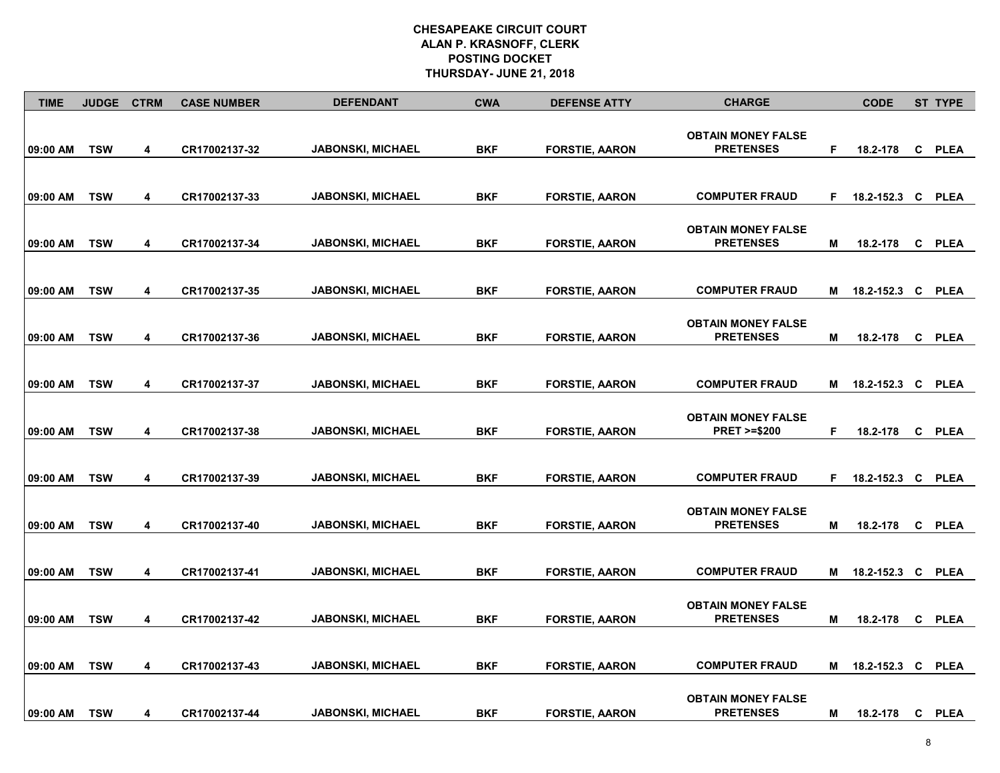| <b>TIME</b> | <b>JUDGE</b> | <b>CTRM</b> | <b>CASE NUMBER</b> | <b>DEFENDANT</b>         | <b>CWA</b> | <b>DEFENSE ATTY</b>   | <b>CHARGE</b>                                       |    | <b>CODE</b>  |   | ST TYPE     |
|-------------|--------------|-------------|--------------------|--------------------------|------------|-----------------------|-----------------------------------------------------|----|--------------|---|-------------|
| 09:00 AM    | <b>TSW</b>   | 4           | CR17002137-32      | <b>JABONSKI, MICHAEL</b> | <b>BKF</b> | <b>FORSTIE, AARON</b> | <b>OBTAIN MONEY FALSE</b><br><b>PRETENSES</b>       | F  | 18.2-178     |   | C PLEA      |
| 09:00 AM    | <b>TSW</b>   | 4           | CR17002137-33      | <b>JABONSKI, MICHAEL</b> | BKF        | <b>FORSTIE, AARON</b> | <b>COMPUTER FRAUD</b>                               | F. | 18.2-152.3 C |   | PLEA        |
| 09:00 AM    | <b>TSW</b>   | 4           | CR17002137-34      | <b>JABONSKI, MICHAEL</b> | BKF        | <b>FORSTIE, AARON</b> | <b>OBTAIN MONEY FALSE</b><br><b>PRETENSES</b>       | M  | 18.2-178     | C | <b>PLEA</b> |
| 09:00 AM    | <b>TSW</b>   | 4           | CR17002137-35      | <b>JABONSKI, MICHAEL</b> | BKF        | <b>FORSTIE, AARON</b> | <b>COMPUTER FRAUD</b>                               | М  | 18.2-152.3 C |   | <b>PLEA</b> |
| 09:00 AM    | <b>TSW</b>   | 4           | CR17002137-36      | <b>JABONSKI, MICHAEL</b> | <b>BKF</b> | <b>FORSTIE, AARON</b> | <b>OBTAIN MONEY FALSE</b><br><b>PRETENSES</b>       | M  | 18.2-178     | C | <b>PLEA</b> |
| 09:00 AM    | <b>TSW</b>   | 4           | CR17002137-37      | <b>JABONSKI, MICHAEL</b> | BKF        | <b>FORSTIE, AARON</b> | <b>COMPUTER FRAUD</b>                               | Μ  | 18.2-152.3 C |   | <b>PLEA</b> |
| 09:00 AM    | <b>TSW</b>   | 4           | CR17002137-38      | <b>JABONSKI, MICHAEL</b> | <b>BKF</b> | <b>FORSTIE, AARON</b> | <b>OBTAIN MONEY FALSE</b><br><b>PRET &gt;=\$200</b> | F  | 18.2-178     | C | <b>PLEA</b> |
| 09:00 AM    | <b>TSW</b>   | 4           | CR17002137-39      | <b>JABONSKI, MICHAEL</b> | <b>BKF</b> | <b>FORSTIE, AARON</b> | <b>COMPUTER FRAUD</b>                               | F  | 18.2-152.3 C |   | <b>PLEA</b> |
| 09:00 AM    | <b>TSW</b>   | 4           | CR17002137-40      | <b>JABONSKI, MICHAEL</b> | BKF        | <b>FORSTIE, AARON</b> | <b>OBTAIN MONEY FALSE</b><br><b>PRETENSES</b>       | м  | 18.2-178     | C | PLEA        |
| 09:00 AM    | <b>TSW</b>   | 4           | CR17002137-41      | <b>JABONSKI, MICHAEL</b> | BKF        | <b>FORSTIE, AARON</b> | <b>COMPUTER FRAUD</b>                               | М  | 18.2-152.3 C |   | <b>PLEA</b> |
| 09:00 AM    | <b>TSW</b>   | 4           | CR17002137-42      | <b>JABONSKI, MICHAEL</b> | <b>BKF</b> | <b>FORSTIE, AARON</b> | <b>OBTAIN MONEY FALSE</b><br><b>PRETENSES</b>       | М  | 18.2-178     | C | <b>PLEA</b> |
| 09:00 AM    | <b>TSW</b>   | 4           | CR17002137-43      | <b>JABONSKI, MICHAEL</b> | <b>BKF</b> | <b>FORSTIE, AARON</b> | <b>COMPUTER FRAUD</b>                               | M  | 18.2-152.3   | C | <b>PLEA</b> |
| 09:00 AM    | <b>TSW</b>   | 4           | CR17002137-44      | <b>JABONSKI, MICHAEL</b> | <b>BKF</b> | <b>FORSTIE, AARON</b> | <b>OBTAIN MONEY FALSE</b><br><b>PRETENSES</b>       | М  | 18.2-178     | C | PLEA        |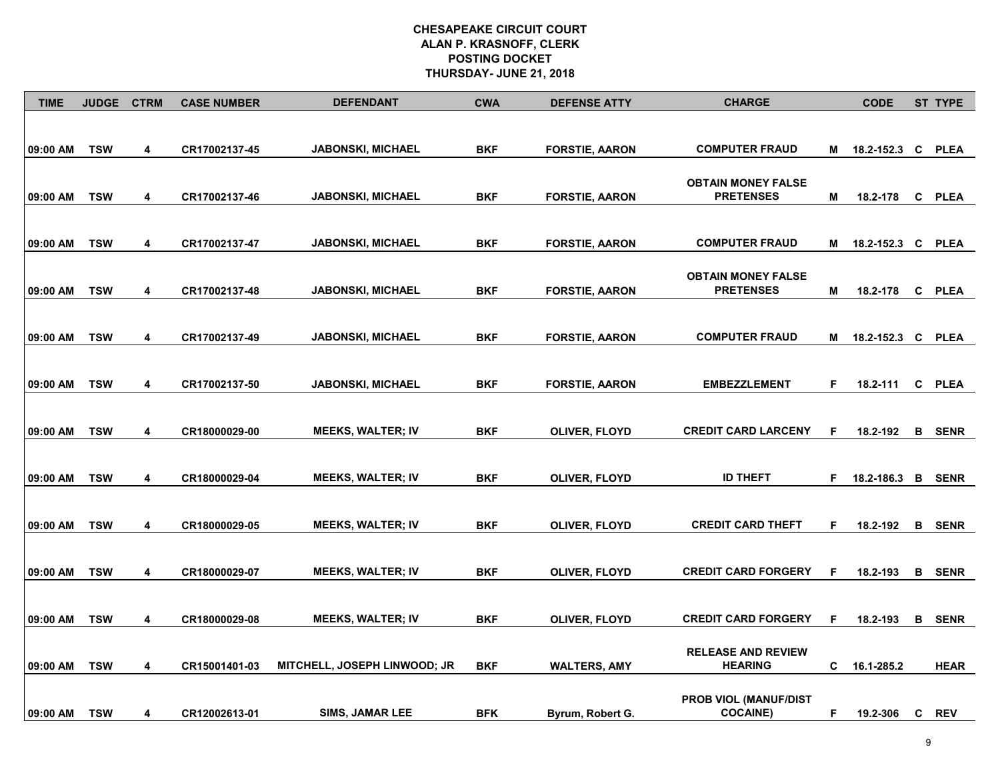| <b>TIME</b> | <b>JUDGE</b> | <b>CTRM</b>             | <b>CASE NUMBER</b> | <b>DEFENDANT</b>                    | <b>CWA</b> | <b>DEFENSE ATTY</b>   | <b>CHARGE</b>                                 |    | <b>CODE</b>       | <b>ST TYPE</b> |
|-------------|--------------|-------------------------|--------------------|-------------------------------------|------------|-----------------------|-----------------------------------------------|----|-------------------|----------------|
| 09:00 AM    | <b>TSW</b>   | 4                       | CR17002137-45      | <b>JABONSKI, MICHAEL</b>            | <b>BKF</b> | <b>FORSTIE, AARON</b> | <b>COMPUTER FRAUD</b>                         | M  | 18.2-152.3 C PLEA |                |
| 09:00 AM    | <b>TSW</b>   | 4                       | CR17002137-46      | <b>JABONSKI, MICHAEL</b>            | <b>BKF</b> | <b>FORSTIE, AARON</b> | <b>OBTAIN MONEY FALSE</b><br><b>PRETENSES</b> | М  | 18.2-178          | C PLEA         |
| 09:00 AM    | <b>TSW</b>   | 4                       | CR17002137-47      | <b>JABONSKI, MICHAEL</b>            | <b>BKF</b> | <b>FORSTIE, AARON</b> | <b>COMPUTER FRAUD</b>                         | м  | 18.2-152.3 C PLEA |                |
| 09:00 AM    | <b>TSW</b>   | 4                       | CR17002137-48      | <b>JABONSKI, MICHAEL</b>            | <b>BKF</b> | <b>FORSTIE, AARON</b> | <b>OBTAIN MONEY FALSE</b><br><b>PRETENSES</b> | М  | 18.2-178          | C PLEA         |
| 09:00 AM    | <b>TSW</b>   | $\overline{\mathbf{4}}$ | CR17002137-49      | <b>JABONSKI, MICHAEL</b>            | <b>BKF</b> | <b>FORSTIE, AARON</b> | <b>COMPUTER FRAUD</b>                         | M  | 18.2-152.3 C PLEA |                |
| 09:00 AM    | <b>TSW</b>   | 4                       | CR17002137-50      | <b>JABONSKI, MICHAEL</b>            | <b>BKF</b> | <b>FORSTIE, AARON</b> | <b>EMBEZZLEMENT</b>                           | F. | 18.2-111          | C PLEA         |
| 09:00 AM    | <b>TSW</b>   | 4                       | CR18000029-00      | <b>MEEKS, WALTER; IV</b>            | <b>BKF</b> | OLIVER, FLOYD         | <b>CREDIT CARD LARCENY</b>                    | F  | 18.2-192          | <b>B</b> SENR  |
| 09:00 AM    | <b>TSW</b>   | 4                       | CR18000029-04      | <b>MEEKS, WALTER; IV</b>            | <b>BKF</b> | <b>OLIVER, FLOYD</b>  | <b>ID THEFT</b>                               | F. | 18.2-186.3 B SENR |                |
| 09:00 AM    | <b>TSW</b>   | 4                       | CR18000029-05      | <b>MEEKS, WALTER; IV</b>            | <b>BKF</b> | OLIVER, FLOYD         | <b>CREDIT CARD THEFT</b>                      | F  | 18.2-192          | <b>B</b> SENR  |
| 09:00 AM    | <b>TSW</b>   | 4                       | CR18000029-07      | <b>MEEKS, WALTER; IV</b>            | <b>BKF</b> | <b>OLIVER, FLOYD</b>  | <b>CREDIT CARD FORGERY</b>                    | F  | 18.2-193          | <b>B</b> SENR  |
| 09:00 AM    | <b>TSW</b>   | 4                       | CR18000029-08      | <b>MEEKS, WALTER; IV</b>            | <b>BKF</b> | OLIVER, FLOYD         | <b>CREDIT CARD FORGERY</b>                    | F  | 18.2-193          | <b>B</b> SENR  |
| 09:00 AM    | <b>TSW</b>   | 4                       | CR15001401-03      | <b>MITCHELL, JOSEPH LINWOOD; JR</b> | <b>BKF</b> | <b>WALTERS, AMY</b>   | <b>RELEASE AND REVIEW</b><br><b>HEARING</b>   | C. | 16.1-285.2        | <b>HEAR</b>    |
| 09:00 AM    | <b>TSW</b>   | 4                       | CR12002613-01      | SIMS, JAMAR LEE                     | <b>BFK</b> | Byrum, Robert G.      | PROB VIOL (MANUF/DIST<br><b>COCAINE</b> )     | F  | 19.2-306          | C REV          |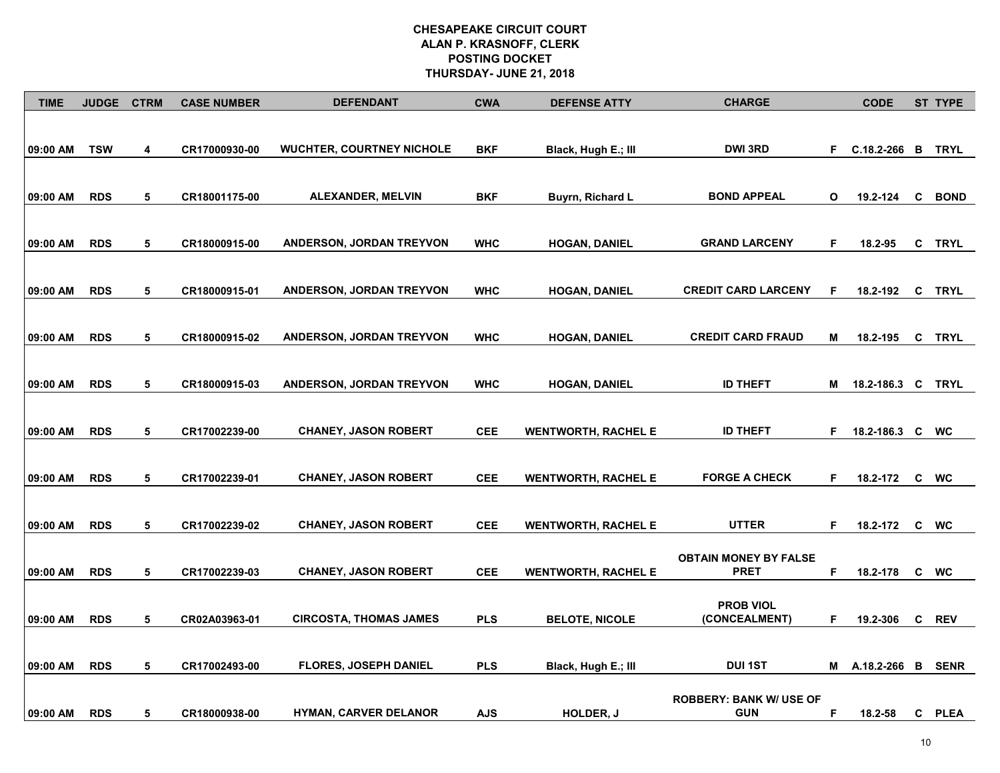| <b>TIME</b> | <b>JUDGE</b> | <b>CTRM</b> | <b>CASE NUMBER</b> | <b>DEFENDANT</b>                 | <b>CWA</b> | <b>DEFENSE ATTY</b>        | <b>CHARGE</b>                                |    | <b>CODE</b>       |   | ST TYPE     |
|-------------|--------------|-------------|--------------------|----------------------------------|------------|----------------------------|----------------------------------------------|----|-------------------|---|-------------|
| 09:00 AM    | <b>TSW</b>   | 4           | CR17000930-00      | <b>WUCHTER, COURTNEY NICHOLE</b> | <b>BKF</b> | Black, Hugh E.; III        | DWI 3RD                                      | F. | $C.18.2-266$ B    |   | <b>TRYL</b> |
| 09:00 AM    | <b>RDS</b>   | 5           | CR18001175-00      | <b>ALEXANDER, MELVIN</b>         | <b>BKF</b> | Buyrn, Richard L           | <b>BOND APPEAL</b>                           | O  | 19.2-124          | C | <b>BOND</b> |
| 09:00 AM    | <b>RDS</b>   | 5           | CR18000915-00      | ANDERSON, JORDAN TREYVON         | <b>WHC</b> | <b>HOGAN, DANIEL</b>       | <b>GRAND LARCENY</b>                         | F. | 18.2-95           | C | TRYL        |
| 09:00 AM    | <b>RDS</b>   | 5           | CR18000915-01      | <b>ANDERSON, JORDAN TREYVON</b>  | <b>WHC</b> | <b>HOGAN, DANIEL</b>       | <b>CREDIT CARD LARCENY</b>                   | F. | 18.2-192          |   | C TRYL      |
| 09:00 AM    | <b>RDS</b>   | 5           | CR18000915-02      | ANDERSON, JORDAN TREYVON         | <b>WHC</b> | <b>HOGAN, DANIEL</b>       | <b>CREDIT CARD FRAUD</b>                     | Μ  | 18.2-195          | C | <b>TRYL</b> |
| 09:00 AM    | <b>RDS</b>   | 5           | CR18000915-03      | ANDERSON, JORDAN TREYVON         | <b>WHC</b> | <b>HOGAN, DANIEL</b>       | <b>ID THEFT</b>                              | M  | 18.2-186.3 C TRYL |   |             |
| 09:00 AM    | <b>RDS</b>   | 5           | CR17002239-00      | <b>CHANEY, JASON ROBERT</b>      | <b>CEE</b> | <b>WENTWORTH, RACHEL E</b> | <b>ID THEFT</b>                              | F. | 18.2-186.3 C WC   |   |             |
| 09:00 AM    | <b>RDS</b>   | 5           | CR17002239-01      | <b>CHANEY, JASON ROBERT</b>      | <b>CEE</b> | <b>WENTWORTH, RACHEL E</b> | <b>FORGE A CHECK</b>                         | F. | 18.2-172          |   | c wc        |
| 09:00 AM    | <b>RDS</b>   | 5           | CR17002239-02      | <b>CHANEY, JASON ROBERT</b>      | <b>CEE</b> | <b>WENTWORTH, RACHEL E</b> | <b>UTTER</b>                                 | F. | 18.2-172          |   | c wc        |
| 09:00 AM    | <b>RDS</b>   | 5           | CR17002239-03      | <b>CHANEY, JASON ROBERT</b>      | <b>CEE</b> | <b>WENTWORTH, RACHEL E</b> | <b>OBTAIN MONEY BY FALSE</b><br><b>PRET</b>  | F. | 18.2-178          |   | c wc        |
| 09:00 AM    | <b>RDS</b>   | 5           | CR02A03963-01      | <b>CIRCOSTA, THOMAS JAMES</b>    | <b>PLS</b> | <b>BELOTE, NICOLE</b>      | <b>PROB VIOL</b><br>(CONCEALMENT)            | F  | 19.2-306          |   | C REV       |
| 09:00 AM    | <b>RDS</b>   | 5           | CR17002493-00      | <b>FLORES, JOSEPH DANIEL</b>     | <b>PLS</b> | Black, Hugh E.; III        | <b>DUI1ST</b>                                |    | M A.18.2-266 B    |   | <b>SENR</b> |
| 09:00 AM    | <b>RDS</b>   | 5           | CR18000938-00      | <b>HYMAN, CARVER DELANOR</b>     | <b>AJS</b> | HOLDER, J                  | <b>ROBBERY: BANK W/ USE OF</b><br><b>GUN</b> | F. | 18.2-58           |   | C PLEA      |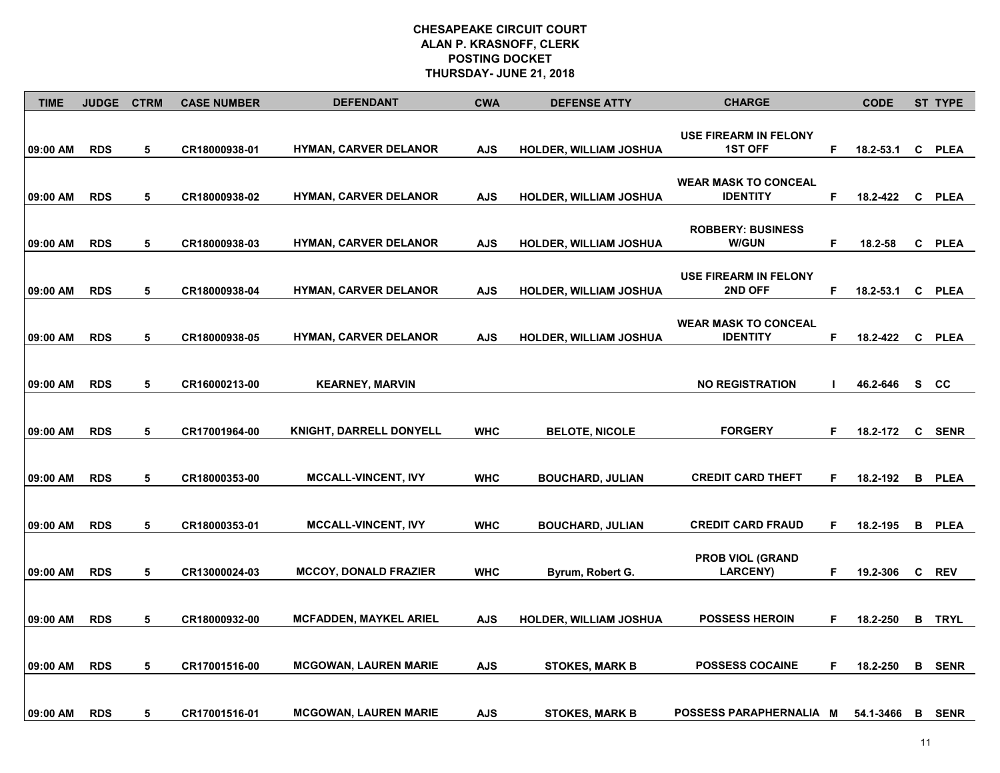| <b>TIME</b> | <b>JUDGE</b> | <b>CTRM</b> | <b>CASE NUMBER</b> | <b>DEFENDANT</b>               | <b>CWA</b> | <b>DEFENSE ATTY</b>           | <b>CHARGE</b>                                  |    | <b>CODE</b> | ST TYPE       |
|-------------|--------------|-------------|--------------------|--------------------------------|------------|-------------------------------|------------------------------------------------|----|-------------|---------------|
| 09:00 AM    | <b>RDS</b>   | 5           | CR18000938-01      | <b>HYMAN, CARVER DELANOR</b>   | <b>AJS</b> | <b>HOLDER, WILLIAM JOSHUA</b> | <b>USE FIREARM IN FELONY</b><br><b>1ST OFF</b> | F  | 18.2-53.1   | C PLEA        |
| 09:00 AM    | <b>RDS</b>   | 5           | CR18000938-02      | <b>HYMAN, CARVER DELANOR</b>   | <b>AJS</b> | <b>HOLDER, WILLIAM JOSHUA</b> | <b>WEAR MASK TO CONCEAL</b><br><b>IDENTITY</b> | F  | 18.2-422    | C PLEA        |
| 09:00 AM    | <b>RDS</b>   | 5           | CR18000938-03      | <b>HYMAN, CARVER DELANOR</b>   | <b>AJS</b> | <b>HOLDER, WILLIAM JOSHUA</b> | <b>ROBBERY: BUSINESS</b><br><b>W/GUN</b>       | F  | 18.2-58     | C PLEA        |
| 09:00 AM    | <b>RDS</b>   | 5           | CR18000938-04      | <b>HYMAN, CARVER DELANOR</b>   | <b>AJS</b> | <b>HOLDER, WILLIAM JOSHUA</b> | <b>USE FIREARM IN FELONY</b><br><b>2ND OFF</b> | F. | 18.2-53.1   | C PLEA        |
| 09:00 AM    | <b>RDS</b>   | 5           | CR18000938-05      | <b>HYMAN, CARVER DELANOR</b>   | <b>AJS</b> | <b>HOLDER, WILLIAM JOSHUA</b> | <b>WEAR MASK TO CONCEAL</b><br><b>IDENTITY</b> | F  | 18.2-422    | C PLEA        |
| 09:00 AM    | <b>RDS</b>   | 5           | CR16000213-00      | <b>KEARNEY, MARVIN</b>         |            |                               | <b>NO REGISTRATION</b>                         | ш  | 46.2-646    | s cc          |
| 09:00 AM    | <b>RDS</b>   | 5           | CR17001964-00      | <b>KNIGHT, DARRELL DONYELL</b> | <b>WHC</b> | <b>BELOTE, NICOLE</b>         | <b>FORGERY</b>                                 | F  | 18.2-172    | C SENR        |
| 09:00 AM    | <b>RDS</b>   | 5           | CR18000353-00      | <b>MCCALL-VINCENT, IVY</b>     | <b>WHC</b> | <b>BOUCHARD, JULIAN</b>       | <b>CREDIT CARD THEFT</b>                       | F. | 18.2-192    | <b>B</b> PLEA |
| 09:00 AM    | <b>RDS</b>   | 5           | CR18000353-01      | <b>MCCALL-VINCENT, IVY</b>     | <b>WHC</b> | <b>BOUCHARD, JULIAN</b>       | <b>CREDIT CARD FRAUD</b>                       | F  | 18.2-195    | <b>B</b> PLEA |
|             | <b>RDS</b>   | 5           |                    | <b>MCCOY, DONALD FRAZIER</b>   | <b>WHC</b> |                               | <b>PROB VIOL (GRAND</b><br><b>LARCENY)</b>     | F  | 19.2-306    | C REV         |
| 09:00 AM    |              |             | CR13000024-03      |                                |            | Byrum, Robert G.              |                                                |    |             |               |
| 09:00 AM    | <b>RDS</b>   | 5           | CR18000932-00      | <b>MCFADDEN, MAYKEL ARIEL</b>  | <b>AJS</b> | <b>HOLDER, WILLIAM JOSHUA</b> | <b>POSSESS HEROIN</b>                          | F. | 18.2-250    | <b>B</b> TRYL |
| 09:00 AM    | <b>RDS</b>   | 5           | CR17001516-00      | <b>MCGOWAN, LAUREN MARIE</b>   | <b>AJS</b> | <b>STOKES, MARK B</b>         | <b>POSSESS COCAINE</b>                         | F. | 18.2-250    | <b>B</b> SENR |
| 09:00 AM    | <b>RDS</b>   | 5           | CR17001516-01      | <b>MCGOWAN, LAUREN MARIE</b>   | <b>AJS</b> | <b>STOKES, MARK B</b>         | POSSESS PARAPHERNALIA M                        |    | 54.1-3466   | <b>B</b> SENR |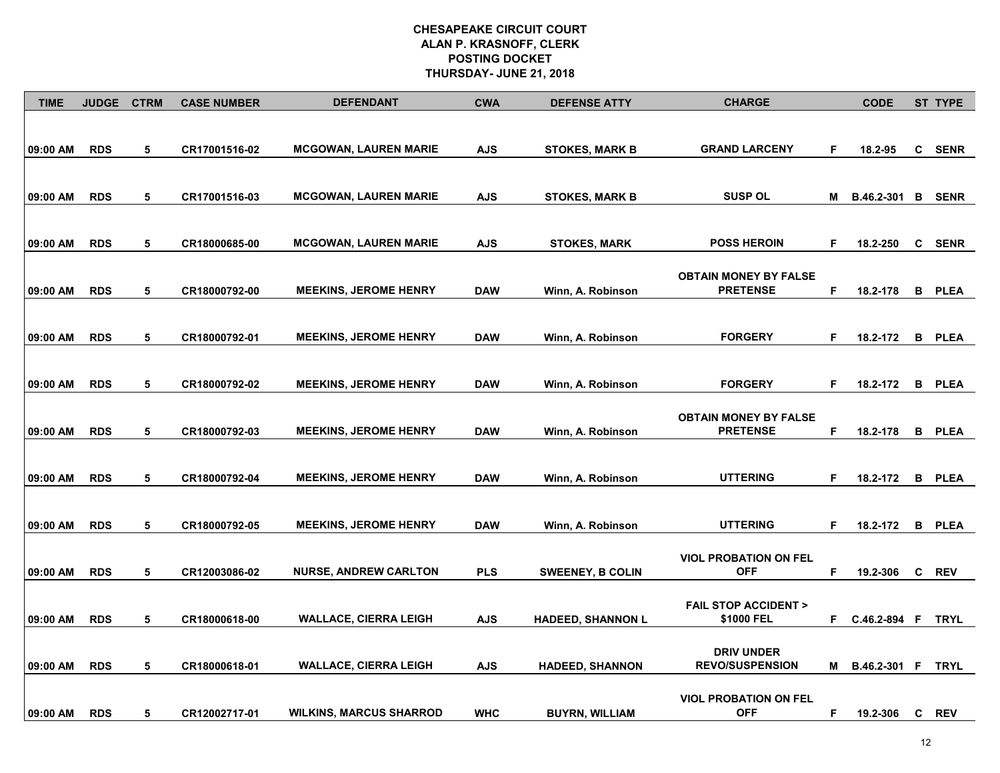| <b>TIME</b> | <b>JUDGE</b> | <b>CTRM</b> | <b>CASE NUMBER</b> | <b>DEFENDANT</b>               | <b>CWA</b> | <b>DEFENSE ATTY</b>      | <b>CHARGE</b>                  |    | <b>CODE</b>              |   | <b>ST TYPE</b> |
|-------------|--------------|-------------|--------------------|--------------------------------|------------|--------------------------|--------------------------------|----|--------------------------|---|----------------|
|             |              |             |                    |                                |            |                          |                                |    |                          |   |                |
|             | <b>RDS</b>   | 5           |                    | <b>MCGOWAN, LAUREN MARIE</b>   |            |                          | <b>GRAND LARCENY</b>           | F  |                          | C | <b>SENR</b>    |
| 09:00 AM    |              |             | CR17001516-02      |                                | <b>AJS</b> | <b>STOKES, MARK B</b>    |                                |    | 18.2-95                  |   |                |
|             |              |             |                    |                                |            |                          |                                |    |                          |   |                |
| 09:00 AM    | <b>RDS</b>   | 5           | CR17001516-03      | <b>MCGOWAN, LAUREN MARIE</b>   | <b>AJS</b> | <b>STOKES, MARK B</b>    | <b>SUSP OL</b>                 | M  | <b>B.46.2-301 B SENR</b> |   |                |
|             |              |             |                    |                                |            |                          |                                |    |                          |   |                |
|             | <b>RDS</b>   | 5           |                    | <b>MCGOWAN, LAUREN MARIE</b>   |            |                          | <b>POSS HEROIN</b>             | F  |                          |   | C SENR         |
| 09:00 AM    |              |             | CR18000685-00      |                                | <b>AJS</b> | <b>STOKES, MARK</b>      |                                |    | 18.2-250                 |   |                |
|             |              |             |                    |                                |            |                          | <b>OBTAIN MONEY BY FALSE</b>   |    |                          |   |                |
| 09:00 AM    | <b>RDS</b>   | 5           | CR18000792-00      | <b>MEEKINS, JEROME HENRY</b>   | <b>DAW</b> | Winn, A. Robinson        | <b>PRETENSE</b>                | F  | 18.2-178                 |   | <b>B</b> PLEA  |
|             |              |             |                    |                                |            |                          |                                |    |                          |   |                |
|             |              |             |                    |                                |            |                          | <b>FORGERY</b>                 |    |                          |   |                |
| 09:00 AM    | <b>RDS</b>   | 5           | CR18000792-01      | <b>MEEKINS, JEROME HENRY</b>   | <b>DAW</b> | Winn, A. Robinson        |                                | F. | 18.2-172                 |   | <b>B</b> PLEA  |
|             |              |             |                    |                                |            |                          |                                |    |                          |   |                |
| 09:00 AM    | <b>RDS</b>   | 5           | CR18000792-02      | <b>MEEKINS, JEROME HENRY</b>   | <b>DAW</b> | Winn, A. Robinson        | <b>FORGERY</b>                 | F  | 18.2-172                 |   | <b>B</b> PLEA  |
|             |              |             |                    |                                |            |                          |                                |    |                          |   |                |
|             |              |             |                    |                                |            |                          | <b>OBTAIN MONEY BY FALSE</b>   |    |                          |   |                |
| 09:00 AM    | <b>RDS</b>   | 5           | CR18000792-03      | <b>MEEKINS, JEROME HENRY</b>   | <b>DAW</b> | Winn, A. Robinson        | <b>PRETENSE</b>                | F  | 18.2-178                 |   | <b>B</b> PLEA  |
|             |              |             |                    |                                |            |                          |                                |    |                          |   |                |
| 09:00 AM    | <b>RDS</b>   | 5           | CR18000792-04      | <b>MEEKINS, JEROME HENRY</b>   | <b>DAW</b> | Winn, A. Robinson        | <b>UTTERING</b>                | F. | 18.2-172 B PLEA          |   |                |
|             |              |             |                    |                                |            |                          |                                |    |                          |   |                |
|             |              |             |                    |                                |            |                          |                                |    |                          |   |                |
| 09:00 AM    | <b>RDS</b>   | 5           | CR18000792-05      | <b>MEEKINS, JEROME HENRY</b>   | <b>DAW</b> | Winn, A. Robinson        | <b>UTTERING</b>                | F  | 18.2-172                 |   | <b>B</b> PLEA  |
|             |              |             |                    |                                |            |                          | <b>VIOL PROBATION ON FEL</b>   |    |                          |   |                |
| 09:00 AM    | <b>RDS</b>   | 5           | CR12003086-02      | <b>NURSE, ANDREW CARLTON</b>   | <b>PLS</b> | <b>SWEENEY, B COLIN</b>  | <b>OFF</b>                     | F  | 19.2-306                 |   | C REV          |
|             |              |             |                    |                                |            |                          |                                |    |                          |   |                |
|             |              |             |                    |                                |            |                          | <b>FAIL STOP ACCIDENT &gt;</b> |    |                          |   |                |
| 09:00 AM    | <b>RDS</b>   | 5           | CR18000618-00      | <b>WALLACE, CIERRA LEIGH</b>   | <b>AJS</b> | <b>HADEED, SHANNON L</b> | \$1000 FEL                     | F. | C.46.2-894 F             |   | <b>TRYL</b>    |
|             |              |             |                    |                                |            |                          | <b>DRIV UNDER</b>              |    |                          |   |                |
| 09:00 AM    | <b>RDS</b>   | 5           | CR18000618-01      | <b>WALLACE, CIERRA LEIGH</b>   | <b>AJS</b> | <b>HADEED, SHANNON</b>   | <b>REVO/SUSPENSION</b>         | M  | B.46.2-301 F             |   | <b>TRYL</b>    |
|             |              |             |                    |                                |            |                          |                                |    |                          |   |                |
|             |              |             |                    |                                |            |                          | <b>VIOL PROBATION ON FEL</b>   |    |                          |   |                |
| 09:00 AM    | <b>RDS</b>   | 5           | CR12002717-01      | <b>WILKINS, MARCUS SHARROD</b> | <b>WHC</b> | <b>BUYRN, WILLIAM</b>    | <b>OFF</b>                     | F  | 19.2-306                 |   | C REV          |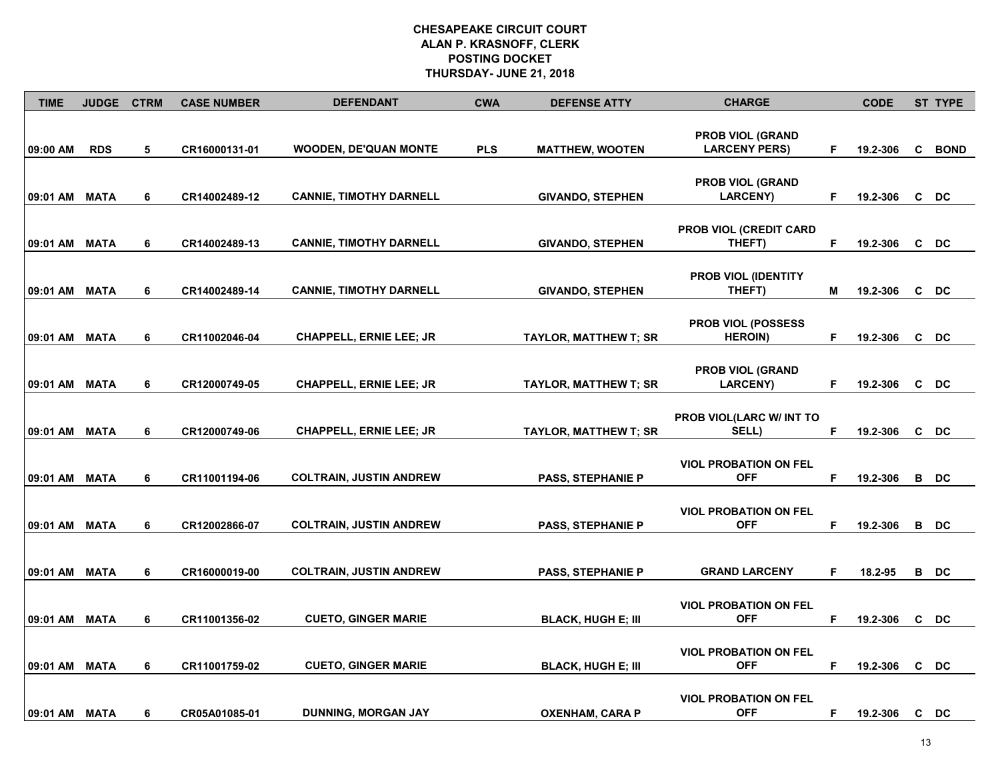| <b>TIME</b>   | <b>JUDGE</b> | <b>CTRM</b> | <b>CASE NUMBER</b> | <b>DEFENDANT</b>               | <b>CWA</b> | <b>DEFENSE ATTY</b>          | <b>CHARGE</b>                                   |    | <b>CODE</b> |   | <b>ST TYPE</b> |
|---------------|--------------|-------------|--------------------|--------------------------------|------------|------------------------------|-------------------------------------------------|----|-------------|---|----------------|
| 09:00 AM      | <b>RDS</b>   | 5           | CR16000131-01      | <b>WOODEN, DE'QUAN MONTE</b>   | <b>PLS</b> | <b>MATTHEW, WOOTEN</b>       | <b>PROB VIOL (GRAND</b><br><b>LARCENY PERS)</b> | F  | 19.2-306    | C | <b>BOND</b>    |
| 09:01 AM MATA |              | 6           | CR14002489-12      | <b>CANNIE, TIMOTHY DARNELL</b> |            | <b>GIVANDO, STEPHEN</b>      | <b>PROB VIOL (GRAND</b><br><b>LARCENY)</b>      | F  | 19.2-306    |   | C DC           |
| 09:01 AM MATA |              | 6           | CR14002489-13      | <b>CANNIE, TIMOTHY DARNELL</b> |            | <b>GIVANDO, STEPHEN</b>      | <b>PROB VIOL (CREDIT CARD</b><br>THEFT)         | F  | 19.2-306    |   | C DC           |
| 09:01 AM MATA |              | 6           | CR14002489-14      | <b>CANNIE, TIMOTHY DARNELL</b> |            | <b>GIVANDO, STEPHEN</b>      | PROB VIOL (IDENTITY<br>THEFT)                   | Μ  | 19.2-306    |   | C DC           |
| 09:01 AM      | <b>MATA</b>  | 6           | CR11002046-04      | <b>CHAPPELL, ERNIE LEE; JR</b> |            | <b>TAYLOR, MATTHEW T; SR</b> | PROB VIOL (POSSESS<br><b>HEROIN</b> )           | F  | 19.2-306    |   | C DC           |
| 09:01 AM      | <b>MATA</b>  | 6           | CR12000749-05      | <b>CHAPPELL, ERNIE LEE; JR</b> |            | <b>TAYLOR, MATTHEW T; SR</b> | <b>PROB VIOL (GRAND</b><br><b>LARCENY)</b>      | F  | 19.2-306    |   | C DC           |
| 09:01 AM      | <b>MATA</b>  | 6           | CR12000749-06      | CHAPPELL, ERNIE LEE; JR        |            | <b>TAYLOR, MATTHEW T; SR</b> | PROB VIOL(LARC W/ INT TO<br>SELL)               | F  | 19.2-306    |   | C DC           |
| 09:01 AM MATA |              | 6           | CR11001194-06      | <b>COLTRAIN, JUSTIN ANDREW</b> |            | PASS, STEPHANIE P            | <b>VIOL PROBATION ON FEL</b><br><b>OFF</b>      | F. | 19.2-306    |   | B DC           |
| 09:01 AM MATA |              | 6           | CR12002866-07      | <b>COLTRAIN, JUSTIN ANDREW</b> |            | PASS, STEPHANIE P            | <b>VIOL PROBATION ON FEL</b><br><b>OFF</b>      | F  | 19.2-306    |   | B DC           |
| 09:01 AM      | <b>MATA</b>  | 6           | CR16000019-00      | <b>COLTRAIN, JUSTIN ANDREW</b> |            | <b>PASS, STEPHANIE P</b>     | <b>GRAND LARCENY</b>                            | F. | 18.2-95     |   | B DC           |
| 09:01 AM      | <b>MATA</b>  | 6           | CR11001356-02      | <b>CUETO, GINGER MARIE</b>     |            | <b>BLACK, HUGH E; III</b>    | <b>VIOL PROBATION ON FEL</b><br><b>OFF</b>      | F  | 19.2-306    |   | C DC           |
| 09:01 AM      | <b>MATA</b>  | 6           | CR11001759-02      | <b>CUETO, GINGER MARIE</b>     |            | <b>BLACK, HUGH E; III</b>    | <b>VIOL PROBATION ON FEL</b><br><b>OFF</b>      | F  | 19.2-306    | C | DC             |
| 09:01 AM      | MATA         | 6           | CR05A01085-01      | DUNNING, MORGAN JAY            |            | <b>OXENHAM, CARA P</b>       | <b>VIOL PROBATION ON FEL</b><br><b>OFF</b>      | F. | 19.2-306    |   | C DC           |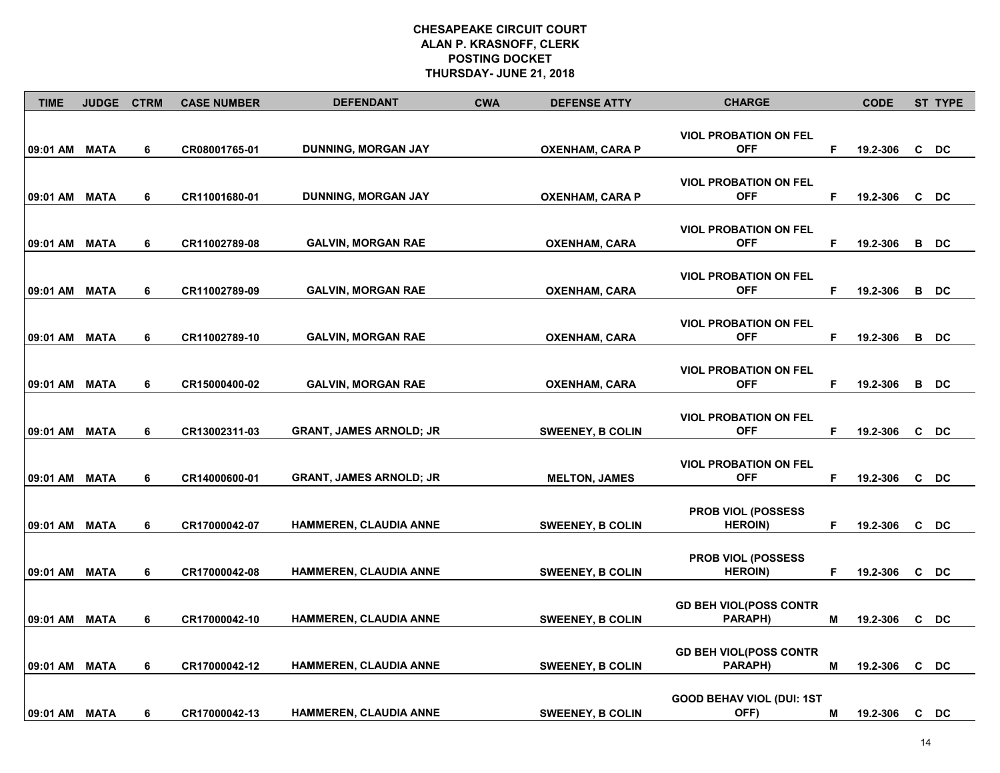| <b>TIME</b>   | JUDGE CTRM  |   | <b>CASE NUMBER</b> | <b>DEFENDANT</b>               | <b>CWA</b> | <b>DEFENSE ATTY</b>     | <b>CHARGE</b>                                 |    | <b>CODE</b> | <b>ST TYPE</b>  |
|---------------|-------------|---|--------------------|--------------------------------|------------|-------------------------|-----------------------------------------------|----|-------------|-----------------|
| 09:01 AM MATA |             | 6 | CR08001765-01      | DUNNING, MORGAN JAY            |            | <b>OXENHAM, CARA P</b>  | <b>VIOL PROBATION ON FEL</b><br><b>OFF</b>    | F  | 19.2-306    | C DC            |
| 09:01 AM MATA |             | 6 | CR11001680-01      | DUNNING, MORGAN JAY            |            | <b>OXENHAM, CARA P</b>  | <b>VIOL PROBATION ON FEL</b><br><b>OFF</b>    | F  | 19.2-306    | C DC            |
| 09:01 AM      | MATA        | 6 | CR11002789-08      | GALVIN, MORGAN RAE             |            | OXENHAM, CARA           | <b>VIOL PROBATION ON FEL</b><br><b>OFF</b>    | F  | 19.2-306    | B DC            |
| 09:01 AM MATA |             | 6 | CR11002789-09      | <b>GALVIN, MORGAN RAE</b>      |            | <b>OXENHAM, CARA</b>    | <b>VIOL PROBATION ON FEL</b><br><b>OFF</b>    | F. | 19.2-306    | B DC            |
| 09:01 AM MATA |             | 6 | CR11002789-10      | GALVIN, MORGAN RAE             |            | <b>OXENHAM, CARA</b>    | <b>VIOL PROBATION ON FEL</b><br><b>OFF</b>    | F  | 19.2-306    | B DC            |
| 09:01 AM      | <b>MATA</b> | 6 | CR15000400-02      | <b>GALVIN, MORGAN RAE</b>      |            | <b>OXENHAM, CARA</b>    | <b>VIOL PROBATION ON FEL</b><br><b>OFF</b>    | F  | 19.2-306    | B DC            |
| 09:01 AM MATA |             | 6 | CR13002311-03      | <b>GRANT, JAMES ARNOLD; JR</b> |            | <b>SWEENEY, B COLIN</b> | <b>VIOL PROBATION ON FEL</b><br><b>OFF</b>    | F  | 19.2-306    | C DC            |
| 09:01 AM      | <b>MATA</b> | 6 | CR14000600-01      | <b>GRANT, JAMES ARNOLD; JR</b> |            | <b>MELTON, JAMES</b>    | <b>VIOL PROBATION ON FEL</b><br><b>OFF</b>    | F. | 19.2-306    | C DC            |
| 09:01 AM MATA |             | 6 | CR17000042-07      | <b>HAMMEREN, CLAUDIA ANNE</b>  |            | <b>SWEENEY, B COLIN</b> | <b>PROB VIOL (POSSESS)</b><br><b>HEROIN)</b>  | F  | 19.2-306    | C DC            |
| 09:01 AM      | <b>MATA</b> | 6 | CR17000042-08      | HAMMEREN, CLAUDIA ANNE         |            | <b>SWEENEY, B COLIN</b> | <b>PROB VIOL (POSSESS)</b><br><b>HEROIN</b> ) | F  | 19.2-306    | C DC            |
| 09:01 AM      | <b>MATA</b> | 6 | CR17000042-10      | HAMMEREN, CLAUDIA ANNE         |            | <b>SWEENEY, B COLIN</b> | <b>GD BEH VIOL(POSS CONTR</b><br>PARAPH)      | М  | 19.2-306    | C DC            |
| 09:01 AM      | <b>MATA</b> | 6 | CR17000042-12      | <b>HAMMEREN, CLAUDIA ANNE</b>  |            | <b>SWEENEY, B COLIN</b> | <b>GD BEH VIOL(POSS CONTR</b><br>PARAPH)      | М  | 19.2-306    | c <sub>DC</sub> |
| 09:01 AM MATA |             | 6 | CR17000042-13      | <b>HAMMEREN, CLAUDIA ANNE</b>  |            | <b>SWEENEY, B COLIN</b> | <b>GOOD BEHAV VIOL (DUI: 1ST</b><br>OFF)      | М  | 19.2-306    | C DC            |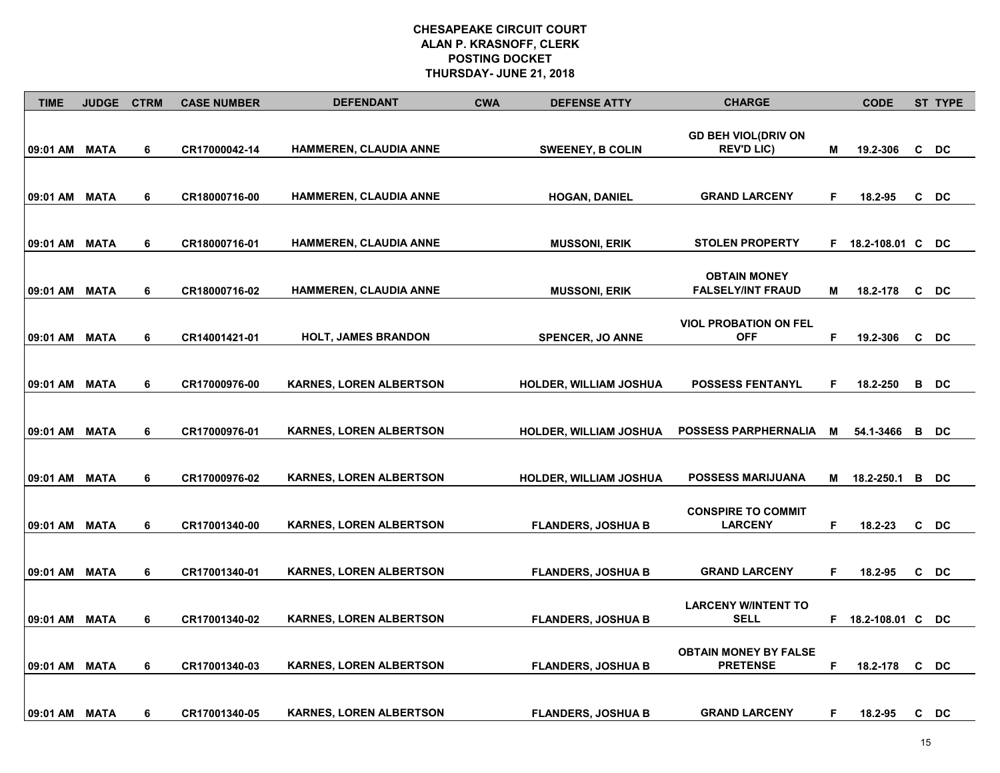| <b>TIME</b>   | <b>JUDGE</b> | <b>CTRM</b> | <b>CASE NUMBER</b> | <b>DEFENDANT</b>               | <b>CWA</b> | <b>DEFENSE ATTY</b>           | <b>CHARGE</b>                                      |   | <b>CODE</b>        |   | ST TYPE |
|---------------|--------------|-------------|--------------------|--------------------------------|------------|-------------------------------|----------------------------------------------------|---|--------------------|---|---------|
| 09:01 AM MATA |              | 6           | CR17000042-14      | HAMMEREN, CLAUDIA ANNE         |            | <b>SWEENEY, B COLIN</b>       | <b>GD BEH VIOL(DRIV ON</b><br><b>REV'D LIC)</b>    | M | 19.2-306           | C | DC      |
| 09:01 AM MATA |              | 6           | CR18000716-00      | <b>HAMMEREN, CLAUDIA ANNE</b>  |            | <b>HOGAN, DANIEL</b>          | <b>GRAND LARCENY</b>                               | F | 18.2-95            |   | C DC    |
| 09:01 AM MATA |              | 6           | CR18000716-01      | HAMMEREN, CLAUDIA ANNE         |            | <b>MUSSONI, ERIK</b>          | <b>STOLEN PROPERTY</b>                             |   | F 18.2-108.01 C DC |   |         |
| 09:01 AM MATA |              | 6           | CR18000716-02      | <b>HAMMEREN, CLAUDIA ANNE</b>  |            | <b>MUSSONI, ERIK</b>          | <b>OBTAIN MONEY</b><br><b>FALSELY/INT FRAUD</b>    | М | 18.2-178           |   | C DC    |
| 09:01 AM MATA |              | 6           | CR14001421-01      | <b>HOLT, JAMES BRANDON</b>     |            | <b>SPENCER, JO ANNE</b>       | <b>VIOL PROBATION ON FEL</b><br><b>OFF</b>         | F | 19.2-306           |   | C DC    |
| 09:01 AM      | <b>MATA</b>  | 6           | CR17000976-00      | <b>KARNES, LOREN ALBERTSON</b> |            | <b>HOLDER, WILLIAM JOSHUA</b> | <b>POSSESS FENTANYL</b>                            | F | 18.2-250           | B | DC      |
| 09:01 AM      | MATA         | 6           | CR17000976-01      | <b>KARNES, LOREN ALBERTSON</b> |            | <b>HOLDER, WILLIAM JOSHUA</b> | <b>POSSESS PARPHERNALIA</b>                        | м | 54.1-3466          | В | DC      |
| 09:01 AM MATA |              | 6           | CR17000976-02      | <b>KARNES, LOREN ALBERTSON</b> |            | <b>HOLDER, WILLIAM JOSHUA</b> | <b>POSSESS MARIJUANA</b>                           | М | 18.2-250.1         |   | B DC    |
| 09:01 AM MATA |              | 6           | CR17001340-00      | <b>KARNES, LOREN ALBERTSON</b> |            | <b>FLANDERS, JOSHUA B</b>     | <b>CONSPIRE TO COMMIT</b><br><b>LARCENY</b>        | F | 18.2-23            |   | C DC    |
|               |              |             |                    |                                |            |                               |                                                    |   |                    |   |         |
| 09:01 AM MATA |              | 6           | CR17001340-01      | <b>KARNES, LOREN ALBERTSON</b> |            | <b>FLANDERS, JOSHUA B</b>     | <b>GRAND LARCENY</b><br><b>LARCENY W/INTENT TO</b> | F | 18.2-95            |   | C DC    |
| 09:01 AM      | <b>MATA</b>  | 6           | CR17001340-02      | <b>KARNES, LOREN ALBERTSON</b> |            | <b>FLANDERS, JOSHUA B</b>     | <b>SELL</b><br><b>OBTAIN MONEY BY FALSE</b>        | F | 18.2-108.01 C      |   | DC      |
| 09:01 AM      | <b>MATA</b>  | 6           | CR17001340-03      | <b>KARNES, LOREN ALBERTSON</b> |            | <b>FLANDERS, JOSHUA B</b>     | <b>PRETENSE</b>                                    | F | 18.2-178           | C | DC      |
| 09:01 AM MATA |              | 6           | CR17001340-05      | <b>KARNES, LOREN ALBERTSON</b> |            | <b>FLANDERS, JOSHUA B</b>     | <b>GRAND LARCENY</b>                               | F | 18.2-95            |   | C DC    |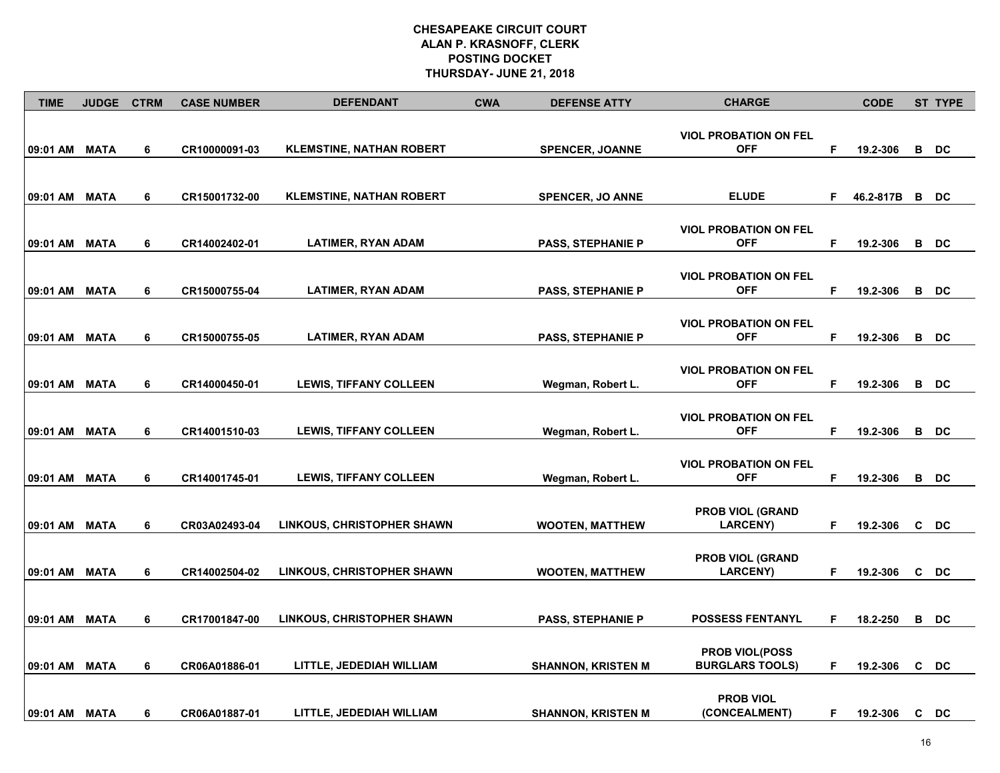| <b>TIME</b>   | <b>JUDGE</b> | <b>CTRM</b> | <b>CASE NUMBER</b> | <b>DEFENDANT</b>                  | <b>CWA</b> | <b>DEFENSE ATTY</b>       | <b>CHARGE</b>                              |    | <b>CODE</b> |   | <b>ST TYPE</b> |
|---------------|--------------|-------------|--------------------|-----------------------------------|------------|---------------------------|--------------------------------------------|----|-------------|---|----------------|
| 09:01 AM      | <b>MATA</b>  | 6           | CR10000091-03      | <b>KLEMSTINE, NATHAN ROBERT</b>   |            | <b>SPENCER, JOANNE</b>    | <b>VIOL PROBATION ON FEL</b><br><b>OFF</b> | F  | 19.2-306    |   | B DC           |
|               |              |             |                    |                                   |            |                           |                                            |    |             |   |                |
| 09:01 AM MATA |              | 6           | CR15001732-00      | <b>KLEMSTINE, NATHAN ROBERT</b>   |            | <b>SPENCER, JO ANNE</b>   | <b>ELUDE</b>                               | F. | 46.2-817B   |   | B DC           |
| 09:01 AM MATA |              | 6           | CR14002402-01      | LATIMER, RYAN ADAM                |            | <b>PASS, STEPHANIE P</b>  | <b>VIOL PROBATION ON FEL</b><br><b>OFF</b> | F  | 19.2-306    |   | B DC           |
| 09:01 AM MATA |              | 6           | CR15000755-04      | <b>LATIMER, RYAN ADAM</b>         |            | <b>PASS, STEPHANIE P</b>  | <b>VIOL PROBATION ON FEL</b><br><b>OFF</b> | F. | 19.2-306    |   | B DC           |
|               |              |             |                    |                                   |            |                           | <b>VIOL PROBATION ON FEL</b>               |    |             |   |                |
| 09:01 AM MATA |              | 6           | CR15000755-05      | <b>LATIMER, RYAN ADAM</b>         |            | <b>PASS, STEPHANIE P</b>  | <b>OFF</b>                                 | F  | 19.2-306    |   | B DC           |
| 09:01 AM      | <b>MATA</b>  | 6           | CR14000450-01      | <b>LEWIS, TIFFANY COLLEEN</b>     |            | Wegman, Robert L.         | <b>VIOL PROBATION ON FEL</b><br><b>OFF</b> | F  | 19.2-306    |   | B DC           |
| 09:01 AM      | <b>MATA</b>  | 6           | CR14001510-03      | <b>LEWIS, TIFFANY COLLEEN</b>     |            | Wegman, Robert L.         | <b>VIOL PROBATION ON FEL</b><br><b>OFF</b> | F  | 19.2-306    | в | DC             |
|               |              |             |                    |                                   |            |                           | <b>VIOL PROBATION ON FEL</b>               |    |             |   |                |
| 09:01 AM MATA |              | 6           | CR14001745-01      | <b>LEWIS, TIFFANY COLLEEN</b>     |            | Wegman, Robert L.         | <b>OFF</b>                                 | F  | 19.2-306    |   | B DC           |
| 09:01 AM MATA |              | 6           | CR03A02493-04      | <b>LINKOUS, CHRISTOPHER SHAWN</b> |            | <b>WOOTEN, MATTHEW</b>    | <b>PROB VIOL (GRAND</b><br><b>LARCENY)</b> | F  | 19.2-306    |   | C DC           |
| 09:01 AM MATA |              | 6           | CR14002504-02      | LINKOUS, CHRISTOPHER SHAWN        |            | <b>WOOTEN, MATTHEW</b>    | <b>PROB VIOL (GRAND</b><br><b>LARCENY)</b> | F  | 19.2-306    |   | C DC           |
| 09:01 AM MATA |              | 6           | CR17001847-00      | LINKOUS, CHRISTOPHER SHAWN        |            | <b>PASS, STEPHANIE P</b>  | <b>POSSESS FENTANYL</b>                    | F  | 18.2-250    |   | B DC           |
| 09:01 AM MATA |              | 6           | CR06A01886-01      | LITTLE, JEDEDIAH WILLIAM          |            | <b>SHANNON, KRISTEN M</b> | PROB VIOL(POSS<br><b>BURGLARS TOOLS)</b>   | F. | 19.2-306    |   | C DC           |
| 09:01 AM MATA |              | 6           | CR06A01887-01      | LITTLE, JEDEDIAH WILLIAM          |            | <b>SHANNON, KRISTEN M</b> | <b>PROB VIOL</b><br>(CONCEALMENT)          | F. | 19.2-306    |   | C DC           |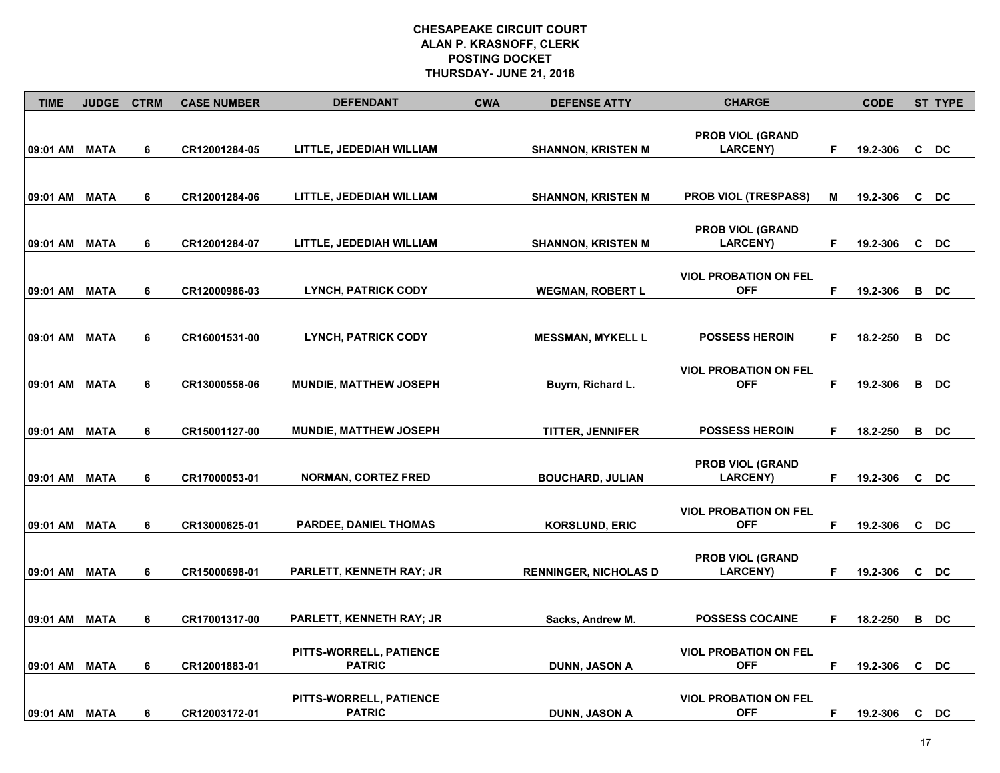| <b>TIME</b>   | <b>JUDGE</b> | <b>CTRM</b> | <b>CASE NUMBER</b> | <b>DEFENDANT</b>                | <b>CWA</b> | <b>DEFENSE ATTY</b>          | <b>CHARGE</b>                              |   | <b>CODE</b> |    | <b>ST TYPE</b> |
|---------------|--------------|-------------|--------------------|---------------------------------|------------|------------------------------|--------------------------------------------|---|-------------|----|----------------|
|               |              |             |                    |                                 |            |                              |                                            |   |             |    |                |
| 09:01 AM MATA |              | 6           | CR12001284-05      | LITTLE, JEDEDIAH WILLIAM        |            | <b>SHANNON, KRISTEN M</b>    | <b>PROB VIOL (GRAND</b><br><b>LARCENY)</b> | F | 19.2-306    |    | C DC           |
|               |              |             |                    |                                 |            |                              |                                            |   |             |    |                |
|               |              |             |                    |                                 |            |                              |                                            |   |             |    |                |
| 09:01 AM MATA |              | 6           | CR12001284-06      | LITTLE, JEDEDIAH WILLIAM        |            | <b>SHANNON, KRISTEN M</b>    | <b>PROB VIOL (TRESPASS)</b>                | м | 19.2-306    |    | C DC           |
|               |              |             |                    |                                 |            |                              |                                            |   |             |    |                |
|               |              |             |                    |                                 |            |                              | <b>PROB VIOL (GRAND</b>                    |   |             |    |                |
| 09:01 AM MATA |              | 6           | CR12001284-07      | LITTLE, JEDEDIAH WILLIAM        |            | <b>SHANNON, KRISTEN M</b>    | <b>LARCENY)</b>                            | F | 19.2-306    |    | C DC           |
|               |              |             |                    |                                 |            |                              |                                            |   |             |    |                |
|               |              |             |                    |                                 |            |                              | <b>VIOL PROBATION ON FEL</b>               |   |             |    |                |
| 09:01 AM MATA |              | 6           | CR12000986-03      | <b>LYNCH, PATRICK CODY</b>      |            | <b>WEGMAN, ROBERT L</b>      | <b>OFF</b>                                 | F | 19.2-306    |    | B DC           |
|               |              |             |                    |                                 |            |                              |                                            |   |             |    |                |
| 09:01 AM MATA |              | 6           | CR16001531-00      | <b>LYNCH, PATRICK CODY</b>      |            | <b>MESSMAN, MYKELL L</b>     | <b>POSSESS HEROIN</b>                      | F | 18.2-250    | В  | DC             |
|               |              |             |                    |                                 |            |                              |                                            |   |             |    |                |
|               |              |             |                    |                                 |            |                              | <b>VIOL PROBATION ON FEL</b>               |   |             |    |                |
| 09:01 AM      | MATA         | 6           | CR13000558-06      | <b>MUNDIE, MATTHEW JOSEPH</b>   |            | Buyrn, Richard L.            | <b>OFF</b>                                 | F | 19.2-306    |    | B DC           |
|               |              |             |                    |                                 |            |                              |                                            |   |             |    |                |
|               |              |             |                    |                                 |            |                              |                                            |   |             |    |                |
| 09:01 AM MATA |              | 6           | CR15001127-00      | MUNDIE, MATTHEW JOSEPH          |            | TITTER, JENNIFER             | <b>POSSESS HEROIN</b>                      | F | 18.2-250    |    | B DC           |
|               |              |             |                    |                                 |            |                              |                                            |   |             |    |                |
|               |              |             |                    |                                 |            |                              | <b>PROB VIOL (GRAND</b>                    |   |             |    |                |
| 09:01 AM MATA |              | 6           | CR17000053-01      | <b>NORMAN, CORTEZ FRED</b>      |            | <b>BOUCHARD, JULIAN</b>      | <b>LARCENY)</b>                            | F | 19.2-306    |    | C DC           |
|               |              |             |                    |                                 |            |                              |                                            |   |             |    |                |
| 09:01 AM MATA |              | 6           | CR13000625-01      | <b>PARDEE, DANIEL THOMAS</b>    |            | <b>KORSLUND, ERIC</b>        | <b>VIOL PROBATION ON FEL</b><br><b>OFF</b> | F | 19.2-306    |    | C DC           |
|               |              |             |                    |                                 |            |                              |                                            |   |             |    |                |
|               |              |             |                    |                                 |            |                              | <b>PROB VIOL (GRAND</b>                    |   |             |    |                |
| 09:01 AM MATA |              | 6           | CR15000698-01      | <b>PARLETT, KENNETH RAY; JR</b> |            | <b>RENNINGER, NICHOLAS D</b> | <b>LARCENY</b> )                           | F | 19.2-306    |    | C DC           |
|               |              |             |                    |                                 |            |                              |                                            |   |             |    |                |
|               |              |             |                    |                                 |            |                              |                                            |   |             |    |                |
| 09:01 AM MATA |              | 6           | CR17001317-00      | PARLETT, KENNETH RAY; JR        |            | Sacks, Andrew M.             | <b>POSSESS COCAINE</b>                     | F | 18.2-250    |    | B DC           |
|               |              |             |                    |                                 |            |                              |                                            |   |             |    |                |
|               |              |             |                    | PITTS-WORRELL, PATIENCE         |            |                              | <b>VIOL PROBATION ON FEL</b>               |   |             |    |                |
| 09:01 AM      | <b>MATA</b>  | 6           | CR12001883-01      | <b>PATRIC</b>                   |            | <b>DUNN, JASON A</b>         | <b>OFF</b>                                 | F | 19.2-306    | C  | DC             |
|               |              |             |                    |                                 |            |                              |                                            |   |             |    |                |
|               |              |             |                    | PITTS-WORRELL, PATIENCE         |            |                              | <b>VIOL PROBATION ON FEL</b>               |   |             |    |                |
| 09:01 AM MATA |              | 6           | CR12003172-01      | <b>PATRIC</b>                   |            | <b>DUNN, JASON A</b>         | <b>OFF</b>                                 | F | 19.2-306    | C. | DC             |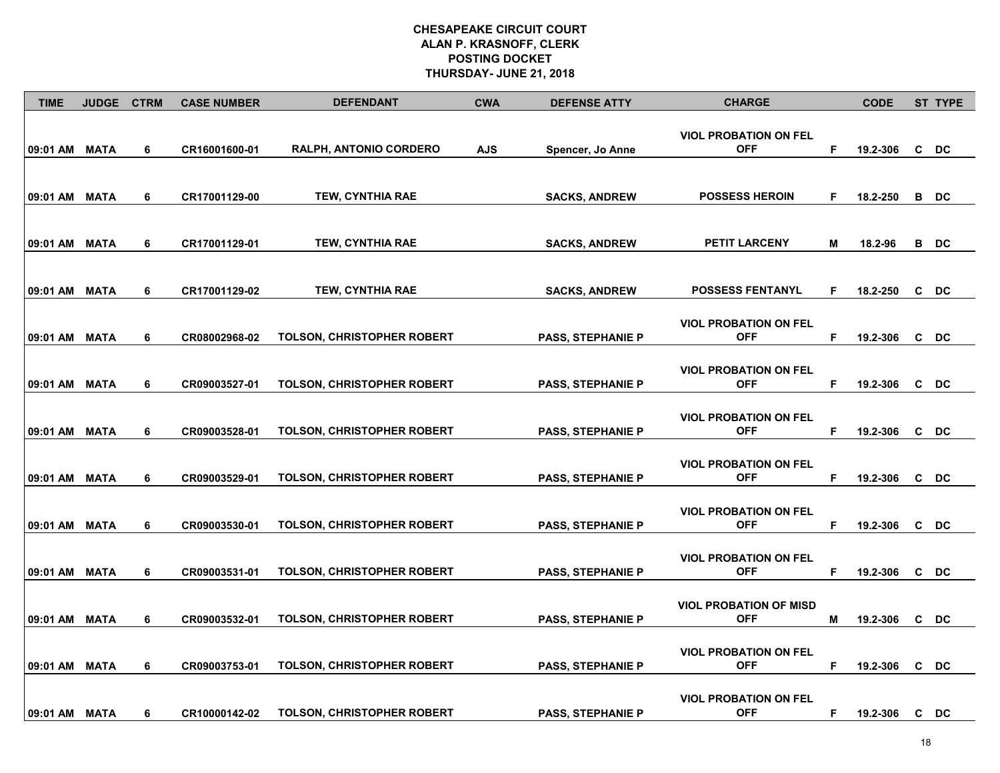| <b>TIME</b>   | <b>JUDGE</b> | <b>CTRM</b> | <b>CASE NUMBER</b> | <b>DEFENDANT</b>                  | <b>CWA</b> | <b>DEFENSE ATTY</b>      | <b>CHARGE</b>                               |   | <b>CODE</b> | <b>ST TYPE</b> |
|---------------|--------------|-------------|--------------------|-----------------------------------|------------|--------------------------|---------------------------------------------|---|-------------|----------------|
| 09:01 AM MATA |              | 6           | CR16001600-01      | RALPH, ANTONIO CORDERO            | <b>AJS</b> | Spencer, Jo Anne         | <b>VIOL PROBATION ON FEL</b><br><b>OFF</b>  | F | 19.2-306    | C DC           |
| 09:01 AM MATA |              | 6           | CR17001129-00      | TEW, CYNTHIA RAE                  |            | <b>SACKS, ANDREW</b>     | <b>POSSESS HEROIN</b>                       | F | 18.2-250    | B DC           |
| 09:01 AM MATA |              | 6           | CR17001129-01      | <b>TEW, CYNTHIA RAE</b>           |            | <b>SACKS, ANDREW</b>     | <b>PETIT LARCENY</b>                        | М | 18.2-96     | B DC           |
| 09:01 AM MATA |              | 6           | CR17001129-02      | TEW, CYNTHIA RAE                  |            | <b>SACKS, ANDREW</b>     | <b>POSSESS FENTANYL</b>                     | F | 18.2-250    | C DC           |
| 09:01 AM MATA |              | 6           | CR08002968-02      | TOLSON, CHRISTOPHER ROBERT        |            | <b>PASS, STEPHANIE P</b> | <b>VIOL PROBATION ON FEL</b><br><b>OFF</b>  | F | 19.2-306    | C DC           |
| 09:01 AM MATA |              | 6           | CR09003527-01      | <b>TOLSON, CHRISTOPHER ROBERT</b> |            | <b>PASS, STEPHANIE P</b> | <b>VIOL PROBATION ON FEL</b><br><b>OFF</b>  | F | 19.2-306    | C DC           |
| 09:01 AM MATA |              | 6           | CR09003528-01      | TOLSON, CHRISTOPHER ROBERT        |            | <b>PASS, STEPHANIE P</b> | <b>VIOL PROBATION ON FEL</b><br><b>OFF</b>  | F | 19.2-306    | C DC           |
| 09:01 AM MATA |              | 6           | CR09003529-01      | <b>TOLSON, CHRISTOPHER ROBERT</b> |            | <b>PASS, STEPHANIE P</b> | <b>VIOL PROBATION ON FEL</b><br><b>OFF</b>  | F | 19.2-306    | C DC           |
| 09:01 AM MATA |              | 6           | CR09003530-01      | <b>TOLSON, CHRISTOPHER ROBERT</b> |            | <b>PASS, STEPHANIE P</b> | <b>VIOL PROBATION ON FEL</b><br><b>OFF</b>  | F | 19.2-306    | C DC           |
| 09:01 AM MATA |              | 6           | CR09003531-01      | <b>TOLSON, CHRISTOPHER ROBERT</b> |            | <b>PASS, STEPHANIE P</b> | <b>VIOL PROBATION ON FEL</b><br><b>OFF</b>  | F | 19.2-306    | C DC           |
| 09:01 AM      | <b>MATA</b>  | 6           | CR09003532-01      | TOLSON, CHRISTOPHER ROBERT        |            | <b>PASS, STEPHANIE P</b> | <b>VIOL PROBATION OF MISD</b><br><b>OFF</b> | M | 19.2-306    | C DC           |
| 09:01 AM      | <b>MATA</b>  | 6           | CR09003753-01      | TOLSON, CHRISTOPHER ROBERT        |            | <b>PASS, STEPHANIE P</b> | <b>VIOL PROBATION ON FEL</b><br><b>OFF</b>  | F | 19.2-306    | C DC           |
| 09:01 AM MATA |              | 6           | CR10000142-02      | <b>TOLSON, CHRISTOPHER ROBERT</b> |            | <b>PASS, STEPHANIE P</b> | <b>VIOL PROBATION ON FEL</b><br><b>OFF</b>  | F | 19.2-306    | C DC           |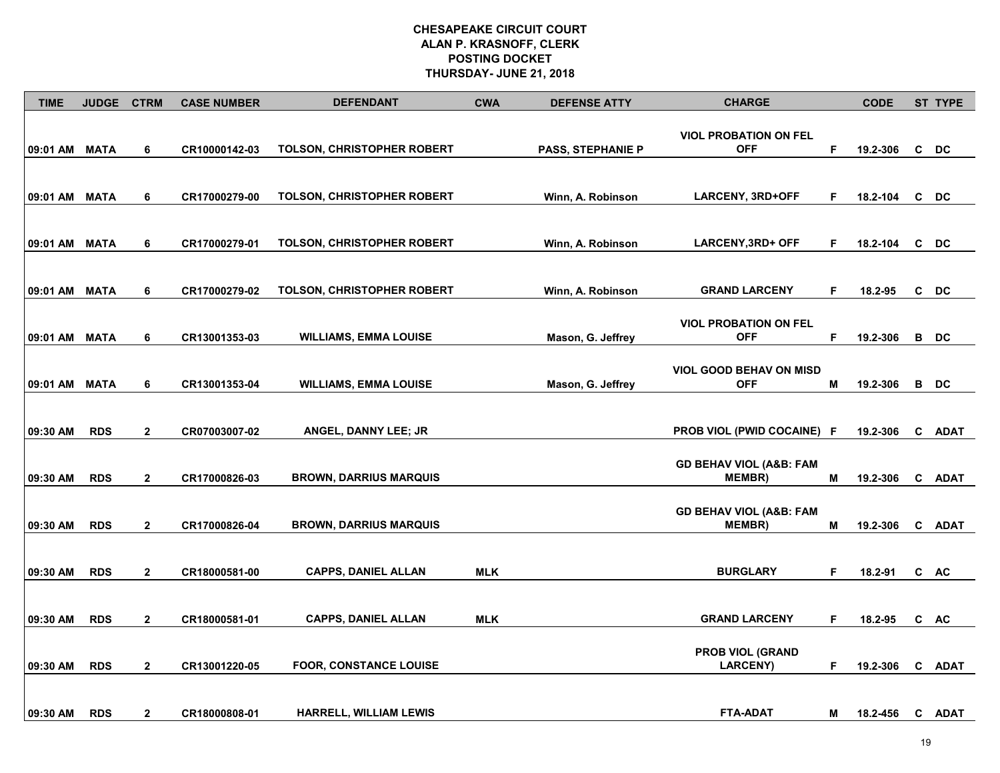| <b>TIME</b>   | <b>JUDGE</b> | <b>CTRM</b>    | <b>CASE NUMBER</b> | <b>DEFENDANT</b>                  | <b>CWA</b> | <b>DEFENSE ATTY</b>      | <b>CHARGE</b>                                       |   | <b>CODE</b> |   | <b>ST TYPE</b> |
|---------------|--------------|----------------|--------------------|-----------------------------------|------------|--------------------------|-----------------------------------------------------|---|-------------|---|----------------|
| 09:01 AM      | MATA         | 6              | CR10000142-03      | TOLSON, CHRISTOPHER ROBERT        |            | <b>PASS, STEPHANIE P</b> | <b>VIOL PROBATION ON FEL</b><br><b>OFF</b>          | F | 19.2-306    | C | DC             |
| 09:01 AM MATA |              | 6              | CR17000279-00      | TOLSON, CHRISTOPHER ROBERT        |            | Winn, A. Robinson        | LARCENY, 3RD+OFF                                    | F | 18.2-104    |   | C DC           |
| 09:01 AM MATA |              | 6              | CR17000279-01      | <b>TOLSON, CHRISTOPHER ROBERT</b> |            | Winn, A. Robinson        | <b>LARCENY, 3RD+ OFF</b>                            | F | 18.2-104    |   | C DC           |
| 09:01 AM MATA |              | 6              | CR17000279-02      | <b>TOLSON, CHRISTOPHER ROBERT</b> |            | Winn, A. Robinson        | <b>GRAND LARCENY</b>                                | F | 18.2-95     |   | C DC           |
| 09:01 AM      | <b>MATA</b>  | 6              | CR13001353-03      | <b>WILLIAMS, EMMA LOUISE</b>      |            | Mason, G. Jeffrey        | <b>VIOL PROBATION ON FEL</b><br><b>OFF</b>          | F | 19.2-306    |   | B DC           |
| 09:01 AM      | <b>MATA</b>  | 6              | CR13001353-04      | <b>WILLIAMS, EMMA LOUISE</b>      |            | Mason, G. Jeffrey        | <b>VIOL GOOD BEHAV ON MISD</b><br><b>OFF</b>        | Μ | 19.2-306    |   | B DC           |
| 09:30 AM      | <b>RDS</b>   | $\mathbf{2}$   | CR07003007-02      | ANGEL, DANNY LEE; JR              |            |                          | <b>PROB VIOL (PWID COCAINE) F</b>                   |   | 19.2-306    |   | C ADAT         |
| 09:30 AM      | <b>RDS</b>   | $\mathbf{2}$   | CR17000826-03      | <b>BROWN, DARRIUS MARQUIS</b>     |            |                          | <b>GD BEHAV VIOL (A&amp;B: FAM</b><br><b>MEMBR)</b> | М | 19.2-306    |   | C ADAT         |
| 09:30 AM      | <b>RDS</b>   | $\mathbf{2}$   | CR17000826-04      | <b>BROWN, DARRIUS MARQUIS</b>     |            |                          | <b>GD BEHAV VIOL (A&amp;B: FAM</b><br>MEMBR)        | M | 19.2-306    |   | C ADAT         |
| 09:30 AM      | <b>RDS</b>   | $\mathbf{2}$   | CR18000581-00      | <b>CAPPS, DANIEL ALLAN</b>        | <b>MLK</b> |                          | <b>BURGLARY</b>                                     | F | 18.2-91     |   | C AC           |
| 09:30 AM      | <b>RDS</b>   | $\overline{2}$ | CR18000581-01      | <b>CAPPS, DANIEL ALLAN</b>        | <b>MLK</b> |                          | <b>GRAND LARCENY</b>                                | F | 18.2-95     |   | C AC           |
| 09:30 AM      | <b>RDS</b>   | $\overline{2}$ | CR13001220-05      | <b>FOOR, CONSTANCE LOUISE</b>     |            |                          | <b>PROB VIOL (GRAND</b><br><b>LARCENY</b> )         | F | 19.2-306    |   | C ADAT         |
| 09:30 AM      | <b>RDS</b>   | $\overline{2}$ | CR18000808-01      | <b>HARRELL, WILLIAM LEWIS</b>     |            |                          | <b>FTA-ADAT</b>                                     | М | 18.2-456    |   | C ADAT         |